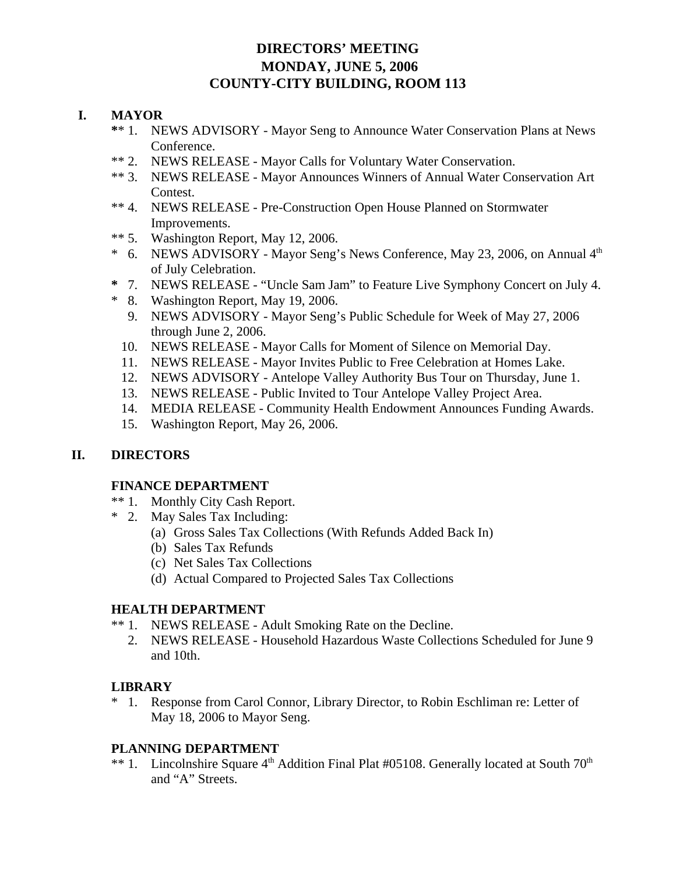# **DIRECTORS' MEETING MONDAY, JUNE 5, 2006 COUNTY-CITY BUILDING, ROOM 113**

## **I. MAYOR**

- **\***\* 1. NEWS ADVISORY Mayor Seng to Announce Water Conservation Plans at News Conference.
- \*\* 2. NEWS RELEASE Mayor Calls for Voluntary Water Conservation.
- \*\* 3. NEWS RELEASE Mayor Announces Winners of Annual Water Conservation Art Contest.
- \*\* 4. NEWS RELEASE Pre-Construction Open House Planned on Stormwater Improvements.
- \*\* 5. Washington Report, May 12, 2006.
- \* 6. NEWS ADVISORY Mayor Seng's News Conference, May 23, 2006, on Annual  $4<sup>th</sup>$ of July Celebration.
- **\*** 7. NEWS RELEASE "Uncle Sam Jam" to Feature Live Symphony Concert on July 4.
- \* 8. Washington Report, May 19, 2006.
	- 9. NEWS ADVISORY Mayor Seng's Public Schedule for Week of May 27, 2006 through June 2, 2006.
	- 10. NEWS RELEASE Mayor Calls for Moment of Silence on Memorial Day.
	- 11. NEWS RELEASE Mayor Invites Public to Free Celebration at Homes Lake.
	- 12. NEWS ADVISORY Antelope Valley Authority Bus Tour on Thursday, June 1.
	- 13. NEWS RELEASE Public Invited to Tour Antelope Valley Project Area.
	- 14. MEDIA RELEASE Community Health Endowment Announces Funding Awards.
	- 15. Washington Report, May 26, 2006.

#### **II. DIRECTORS**

#### **FINANCE DEPARTMENT**

- \*\* 1. Monthly City Cash Report.
- \* 2. May Sales Tax Including:
	- (a) Gross Sales Tax Collections (With Refunds Added Back In)
	- (b) Sales Tax Refunds
	- (c) Net Sales Tax Collections
	- (d) Actual Compared to Projected Sales Tax Collections

#### **HEALTH DEPARTMENT**

- \*\* 1. NEWS RELEASE Adult Smoking Rate on the Decline.
	- 2. NEWS RELEASE Household Hazardous Waste Collections Scheduled for June 9 and 10th.

#### **LIBRARY**

\* 1. Response from Carol Connor, Library Director, to Robin Eschliman re: Letter of May 18, 2006 to Mayor Seng.

#### **PLANNING DEPARTMENT**

\*\* 1. Lincolnshire Square 4<sup>th</sup> Addition Final Plat #05108. Generally located at South 70<sup>th</sup> and "A" Streets.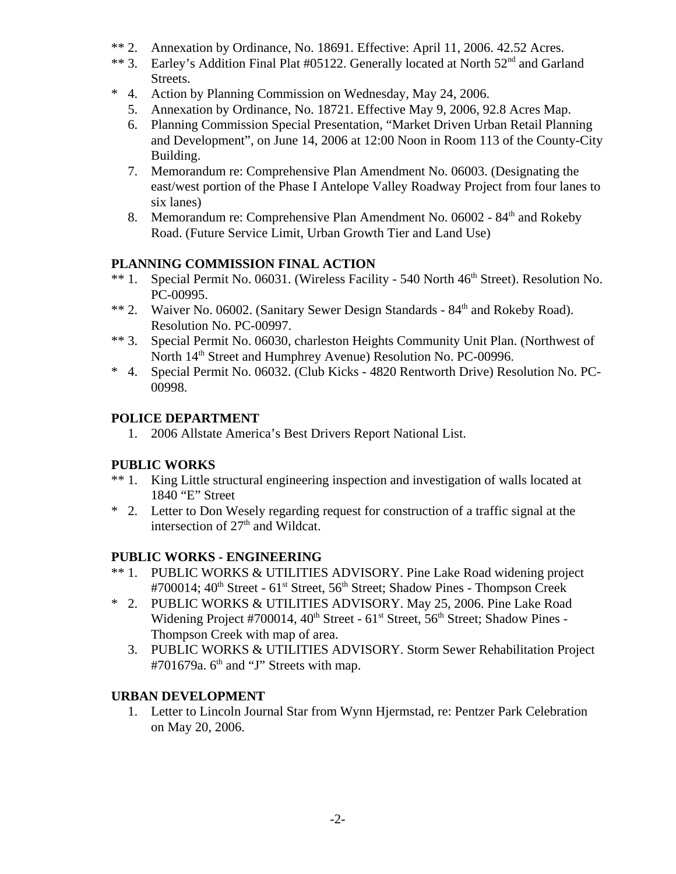- \*\* 2. Annexation by Ordinance, No. 18691. Effective: April 11, 2006. 42.52 Acres.
- \*\* 3. Earley's Addition Final Plat #05122. Generally located at North 52<sup>nd</sup> and Garland Streets.
- \* 4. Action by Planning Commission on Wednesday, May 24, 2006.
	- 5. Annexation by Ordinance, No. 18721. Effective May 9, 2006, 92.8 Acres Map.
	- 6. Planning Commission Special Presentation, "Market Driven Urban Retail Planning and Development", on June 14, 2006 at 12:00 Noon in Room 113 of the County-City Building.
	- 7. Memorandum re: Comprehensive Plan Amendment No. 06003. (Designating the east/west portion of the Phase I Antelope Valley Roadway Project from four lanes to six lanes)
	- 8. Memorandum re: Comprehensive Plan Amendment No.  $06002 84<sup>th</sup>$  and Rokeby Road. (Future Service Limit, Urban Growth Tier and Land Use)

# **PLANNING COMMISSION FINAL ACTION**

- \*\* 1. Special Permit No. 06031. (Wireless Facility 540 North 46<sup>th</sup> Street). Resolution No. PC-00995.
- \*\* 2. Waiver No. 06002. (Sanitary Sewer Design Standards 84<sup>th</sup> and Rokeby Road). Resolution No. PC-00997.
- \*\* 3. Special Permit No. 06030, charleston Heights Community Unit Plan. (Northwest of North 14<sup>th</sup> Street and Humphrey Avenue) Resolution No. PC-00996.
- \* 4. Special Permit No. 06032. (Club Kicks 4820 Rentworth Drive) Resolution No. PC-00998.

# **POLICE DEPARTMENT**

1. 2006 Allstate America's Best Drivers Report National List.

# **PUBLIC WORKS**

- \*\* 1. King Little structural engineering inspection and investigation of walls located at 1840 "E" Street
- \* 2. Letter to Don Wesely regarding request for construction of a traffic signal at the intersection of  $27<sup>th</sup>$  and Wildcat.

#### **PUBLIC WORKS - ENGINEERING**

- \*\* 1. PUBLIC WORKS & UTILITIES ADVISORY. Pine Lake Road widening project #700014; 40<sup>th</sup> Street - 61<sup>st</sup> Street, 56<sup>th</sup> Street; Shadow Pines - Thompson Creek
- \* 2. PUBLIC WORKS & UTILITIES ADVISORY. May 25, 2006. Pine Lake Road Widening Project #700014,  $40^{th}$  Street -  $61^{st}$  Street,  $56^{th}$  Street; Shadow Pines -Thompson Creek with map of area.
	- 3. PUBLIC WORKS & UTILITIES ADVISORY. Storm Sewer Rehabilitation Project  $#701679a$ . 6<sup>th</sup> and "J" Streets with map.

#### **URBAN DEVELOPMENT**

 1. Letter to Lincoln Journal Star from Wynn Hjermstad, re: Pentzer Park Celebration on May 20, 2006.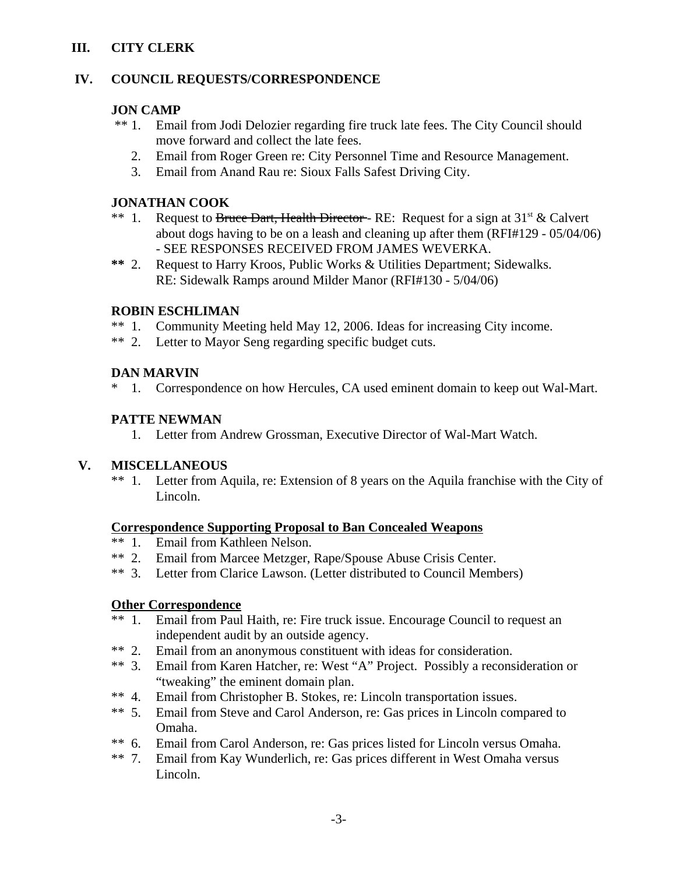# **III. CITY CLERK**

## **IV. COUNCIL REQUESTS/CORRESPONDENCE**

#### **JON CAMP**

- \*\* 1. Email from Jodi Delozier regarding fire truck late fees. The City Council should move forward and collect the late fees.
	- 2. Email from Roger Green re: City Personnel Time and Resource Management.
	- 3. Email from Anand Rau re: Sioux Falls Safest Driving City.

## **JONATHAN COOK**

- \*\* 1. Request to Bruce Dart, Health Director RE: Request for a sign at  $31<sup>st</sup> \&$  Calvert about dogs having to be on a leash and cleaning up after them (RFI#129 - 05/04/06) - SEE RESPONSES RECEIVED FROM JAMES WEVERKA.
- **\*\*** 2. Request to Harry Kroos, Public Works & Utilities Department; Sidewalks. RE: Sidewalk Ramps around Milder Manor (RFI#130 - 5/04/06)

#### **ROBIN ESCHLIMAN**

- \*\* 1. Community Meeting held May 12, 2006. Ideas for increasing City income.
- \*\* 2. Letter to Mayor Seng regarding specific budget cuts.

# **DAN MARVIN**

\* 1. Correspondence on how Hercules, CA used eminent domain to keep out Wal-Mart.

# **PATTE NEWMAN**

1. Letter from Andrew Grossman, Executive Director of Wal-Mart Watch.

# **V. MISCELLANEOUS**

\*\* 1. Letter from Aquila, re: Extension of 8 years on the Aquila franchise with the City of Lincoln.

#### **Correspondence Supporting Proposal to Ban Concealed Weapons**

- \*\* 1. Email from Kathleen Nelson.
- \*\* 2. Email from Marcee Metzger, Rape/Spouse Abuse Crisis Center.
- \*\* 3. Letter from Clarice Lawson. (Letter distributed to Council Members)

#### **Other Correspondence**

- \*\* 1. Email from Paul Haith, re: Fire truck issue. Encourage Council to request an independent audit by an outside agency.
- \*\* 2. Email from an anonymous constituent with ideas for consideration.
- \*\* 3. Email from Karen Hatcher, re: West "A" Project. Possibly a reconsideration or "tweaking" the eminent domain plan.
- \*\* 4. Email from Christopher B. Stokes, re: Lincoln transportation issues.
- \*\* 5. Email from Steve and Carol Anderson, re: Gas prices in Lincoln compared to Omaha.
- \*\* 6. Email from Carol Anderson, re: Gas prices listed for Lincoln versus Omaha.
- \*\* 7. Email from Kay Wunderlich, re: Gas prices different in West Omaha versus Lincoln.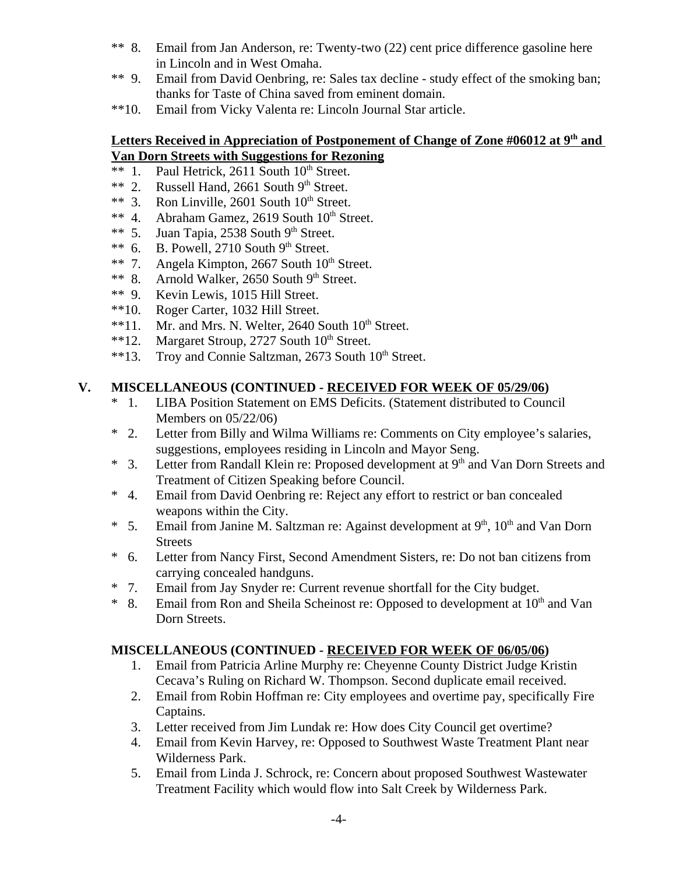- \*\* 8. Email from Jan Anderson, re: Twenty-two (22) cent price difference gasoline here in Lincoln and in West Omaha.
- \*\* 9. Email from David Oenbring, re: Sales tax decline study effect of the smoking ban; thanks for Taste of China saved from eminent domain.
- \*\*10. Email from Vicky Valenta re: Lincoln Journal Star article.

#### Letters Received in Appreciation of Postponement of Change of Zone #06012 at 9<sup>th</sup> and **Van Dorn Streets with Suggestions for Rezoning**

- \*\* 1. Paul Hetrick,  $2611$  South  $10^{th}$  Street.
- \*\* 2. Russell Hand, 2661 South  $9<sup>th</sup>$  Street.<br>\*\* 3. Ron Linville, 2601 South  $10<sup>th</sup>$  Street.
- Ron Linville,  $2601$  South  $10<sup>th</sup>$  Street.
- \*\* 4. Abraham Gamez, 2619 South  $10<sup>th</sup>$  Street.
- \*\* 5. Juan Tapia, 2538 South  $9<sup>th</sup>$  Street.
- \*\* 6. B. Powell, 2710 South  $9<sup>th</sup>$  Street.
- \*\* 7. Angela Kimpton, 2667 South  $10<sup>th</sup>$  Street.
- \*\* 8. Arnold Walker, 2650 South 9th Street.
- \*\* 9. Kevin Lewis, 1015 Hill Street.
- \*\*10. Roger Carter, 1032 Hill Street.
- $**11.$  Mr. and Mrs. N. Welter, 2640 South  $10<sup>th</sup>$  Street.
- \*\*12. Margaret Stroup, 2727 South  $10^{th}$  Street.
- \*\*13. Troy and Connie Saltzman,  $2673$  South  $10<sup>th</sup>$  Street.

# **V. MISCELLANEOUS (CONTINUED - RECEIVED FOR WEEK OF 05/29/06)**

- \* 1. LIBA Position Statement on EMS Deficits. (Statement distributed to Council Members on 05/22/06)
- \* 2. Letter from Billy and Wilma Williams re: Comments on City employee's salaries, suggestions, employees residing in Lincoln and Mayor Seng.
- \* 3. Letter from Randall Klein re: Proposed development at 9th and Van Dorn Streets and Treatment of Citizen Speaking before Council.
- \* 4. Email from David Oenbring re: Reject any effort to restrict or ban concealed weapons within the City.
- \* 5. Email from Janine M. Saltzman re: Against development at  $9<sup>th</sup>$ ,  $10<sup>th</sup>$  and Van Dorn Streets
- \* 6. Letter from Nancy First, Second Amendment Sisters, re: Do not ban citizens from carrying concealed handguns.
- \* 7. Email from Jay Snyder re: Current revenue shortfall for the City budget.
- \* 8. Email from Ron and Sheila Scheinost re: Opposed to development at  $10<sup>th</sup>$  and Van Dorn Streets.

# **MISCELLANEOUS (CONTINUED - RECEIVED FOR WEEK OF 06/05/06)**

- 1. Email from Patricia Arline Murphy re: Cheyenne County District Judge Kristin Cecava's Ruling on Richard W. Thompson. Second duplicate email received.
- 2. Email from Robin Hoffman re: City employees and overtime pay, specifically Fire Captains.
- 3. Letter received from Jim Lundak re: How does City Council get overtime?
- 4. Email from Kevin Harvey, re: Opposed to Southwest Waste Treatment Plant near Wilderness Park.
- 5. Email from Linda J. Schrock, re: Concern about proposed Southwest Wastewater Treatment Facility which would flow into Salt Creek by Wilderness Park.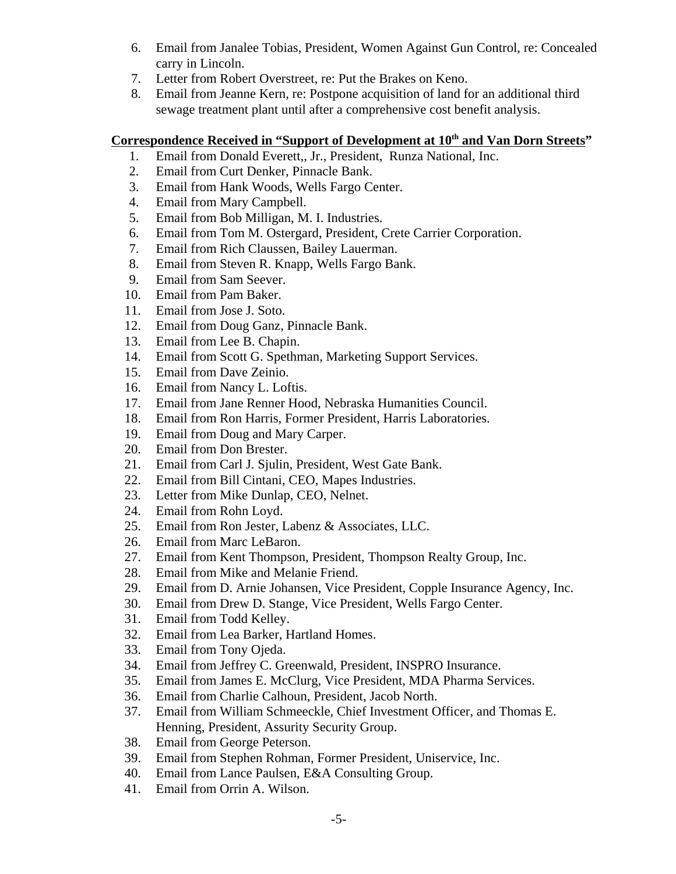- 6. Email from Janalee Tobias, President, Women Against Gun Control, re: Concealed carry in Lincoln.
- 7. Letter from Robert Overstreet, re: Put the Brakes on Keno.
- 8. Email from Jeanne Kern, re: Postpone acquisition of land for an additional third sewage treatment plant until after a comprehensive cost benefit analysis.

# Correspondence Received in "Support of Development at 10<sup>th</sup> and Van Dorn Streets"

- 1. Email from Donald Everett,, Jr., President, Runza National, Inc.
- 2. Email from Curt Denker, Pinnacle Bank.
- 3. Email from Hank Woods, Wells Fargo Center.
- 4. Email from Mary Campbell.
- 5. Email from Bob Milligan, M. I. Industries.
- 6. Email from Tom M. Ostergard, President, Crete Carrier Corporation.
- 7. Email from Rich Claussen, Bailey Lauerman.
- 8. Email from Steven R. Knapp, Wells Fargo Bank.
- 9. Email from Sam Seever.
- 10. Email from Pam Baker.
- 11. Email from Jose J. Soto.
- 12. Email from Doug Ganz, Pinnacle Bank.
- 13. Email from Lee B. Chapin.
- 14. Email from Scott G. Spethman, Marketing Support Services.
- 15. Email from Dave Zeinio.
- 16. Email from Nancy L. Loftis.
- 17. Email from Jane Renner Hood, Nebraska Humanities Council.
- 18. Email from Ron Harris, Former President, Harris Laboratories.
- 19. Email from Doug and Mary Carper.
- 20. Email from Don Brester.
- 21. Email from Carl J. Sjulin, President, West Gate Bank.
- 22. Email from Bill Cintani, CEO, Mapes Industries.
- 23. Letter from Mike Dunlap, CEO, Nelnet.
- 24. Email from Rohn Loyd.
- 25. Email from Ron Jester, Labenz & Associates, LLC.
- 26. Email from Marc LeBaron.
- 27. Email from Kent Thompson, President, Thompson Realty Group, Inc.
- 28. Email from Mike and Melanie Friend.
- 29. Email from D. Arnie Johansen, Vice President, Copple Insurance Agency, Inc.
- 30. Email from Drew D. Stange, Vice President, Wells Fargo Center.
- 31. Email from Todd Kelley.
- 32. Email from Lea Barker, Hartland Homes.
- 33. Email from Tony Ojeda.
- 34. Email from Jeffrey C. Greenwald, President, INSPRO Insurance.
- 35. Email from James E. McClurg, Vice President, MDA Pharma Services.
- 36. Email from Charlie Calhoun, President, Jacob North.
- 37. Email from William Schmeeckle, Chief Investment Officer, and Thomas E. Henning, President, Assurity Security Group.
- 38. Email from George Peterson.
- 39. Email from Stephen Rohman, Former President, Uniservice, Inc.
- 40. Email from Lance Paulsen, E&A Consulting Group.
- 41. Email from Orrin A. Wilson.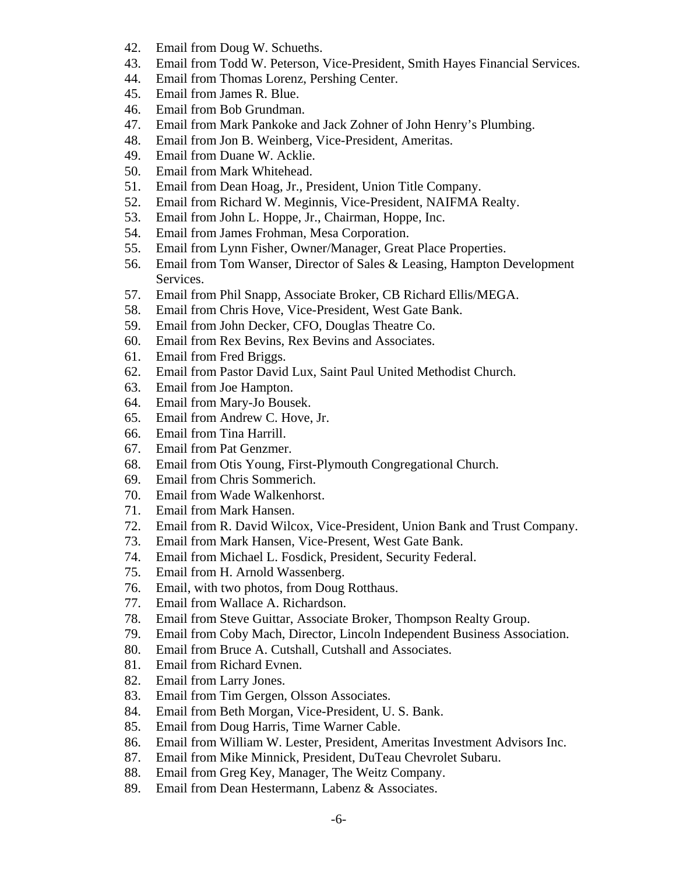- 42. Email from Doug W. Schueths.
- 43. Email from Todd W. Peterson, Vice-President, Smith Hayes Financial Services.
- 44. Email from Thomas Lorenz, Pershing Center.
- 45. Email from James R. Blue.
- 46. Email from Bob Grundman.
- 47. Email from Mark Pankoke and Jack Zohner of John Henry's Plumbing.
- 48. Email from Jon B. Weinberg, Vice-President, Ameritas.
- 49. Email from Duane W. Acklie.
- 50. Email from Mark Whitehead.
- 51. Email from Dean Hoag, Jr., President, Union Title Company.
- 52. Email from Richard W. Meginnis, Vice-President, NAIFMA Realty.
- 53. Email from John L. Hoppe, Jr., Chairman, Hoppe, Inc.
- 54. Email from James Frohman, Mesa Corporation.
- 55. Email from Lynn Fisher, Owner/Manager, Great Place Properties.
- 56. Email from Tom Wanser, Director of Sales & Leasing, Hampton Development Services.
- 57. Email from Phil Snapp, Associate Broker, CB Richard Ellis/MEGA.
- 58. Email from Chris Hove, Vice-President, West Gate Bank.
- 59. Email from John Decker, CFO, Douglas Theatre Co.
- 60. Email from Rex Bevins, Rex Bevins and Associates.
- 61. Email from Fred Briggs.
- 62. Email from Pastor David Lux, Saint Paul United Methodist Church.
- 63. Email from Joe Hampton.
- 64. Email from Mary-Jo Bousek.
- 65. Email from Andrew C. Hove, Jr.
- 66. Email from Tina Harrill.
- 67. Email from Pat Genzmer.
- 68. Email from Otis Young, First-Plymouth Congregational Church.
- 69. Email from Chris Sommerich.
- 70. Email from Wade Walkenhorst.
- 71. Email from Mark Hansen.
- 72. Email from R. David Wilcox, Vice-President, Union Bank and Trust Company.
- 73. Email from Mark Hansen, Vice-Present, West Gate Bank.
- 74. Email from Michael L. Fosdick, President, Security Federal.
- 75. Email from H. Arnold Wassenberg.
- 76. Email, with two photos, from Doug Rotthaus.
- 77. Email from Wallace A. Richardson.
- 78. Email from Steve Guittar, Associate Broker, Thompson Realty Group.
- 79. Email from Coby Mach, Director, Lincoln Independent Business Association.
- 80. Email from Bruce A. Cutshall, Cutshall and Associates.
- 81. Email from Richard Evnen.
- 82. Email from Larry Jones.
- 83. Email from Tim Gergen, Olsson Associates.
- 84. Email from Beth Morgan, Vice-President, U. S. Bank.
- 85. Email from Doug Harris, Time Warner Cable.
- 86. Email from William W. Lester, President, Ameritas Investment Advisors Inc.
- 87. Email from Mike Minnick, President, DuTeau Chevrolet Subaru.
- 88. Email from Greg Key, Manager, The Weitz Company.
- 89. Email from Dean Hestermann, Labenz & Associates.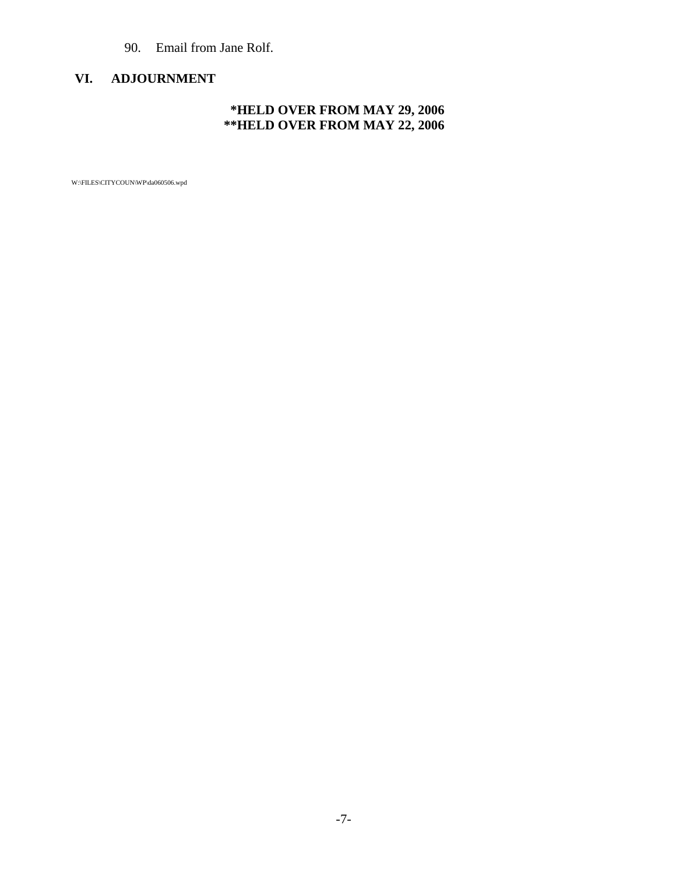# 90. Email from Jane Rolf.

# **VI. ADJOURNMENT**

# **\*HELD OVER FROM MAY 29, 2006 \*\*HELD OVER FROM MAY 22, 2006**

W:\FILES\CITYCOUN\WP\da060506.wpd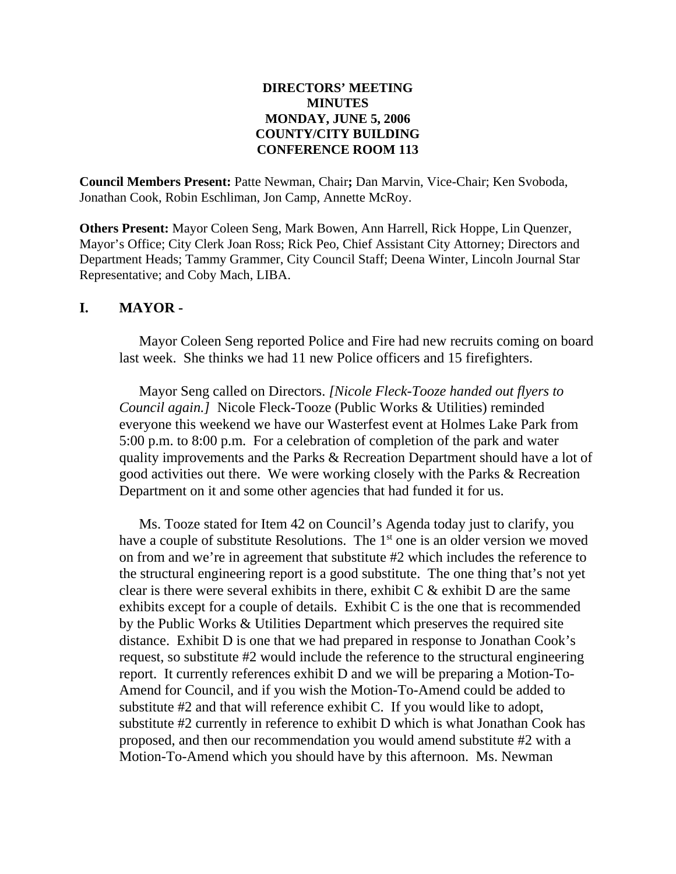#### **DIRECTORS' MEETING MINUTES MONDAY, JUNE 5, 2006 COUNTY/CITY BUILDING CONFERENCE ROOM 113**

**Council Members Present:** Patte Newman, Chair**;** Dan Marvin, Vice-Chair; Ken Svoboda, Jonathan Cook, Robin Eschliman, Jon Camp, Annette McRoy.

**Others Present:** Mayor Coleen Seng, Mark Bowen, Ann Harrell, Rick Hoppe, Lin Quenzer, Mayor's Office; City Clerk Joan Ross; Rick Peo, Chief Assistant City Attorney; Directors and Department Heads; Tammy Grammer, City Council Staff; Deena Winter, Lincoln Journal Star Representative; and Coby Mach, LIBA.

#### **I. MAYOR -**

Mayor Coleen Seng reported Police and Fire had new recruits coming on board last week. She thinks we had 11 new Police officers and 15 firefighters.

Mayor Seng called on Directors. *[Nicole Fleck-Tooze handed out flyers to Council again.]* Nicole Fleck-Tooze (Public Works & Utilities) reminded everyone this weekend we have our Wasterfest event at Holmes Lake Park from 5:00 p.m. to 8:00 p.m. For a celebration of completion of the park and water quality improvements and the Parks & Recreation Department should have a lot of good activities out there. We were working closely with the Parks & Recreation Department on it and some other agencies that had funded it for us.

Ms. Tooze stated for Item 42 on Council's Agenda today just to clarify, you have a couple of substitute Resolutions. The  $1<sup>st</sup>$  one is an older version we moved on from and we're in agreement that substitute #2 which includes the reference to the structural engineering report is a good substitute. The one thing that's not yet clear is there were several exhibits in there, exhibit  $C \&$  exhibit  $D$  are the same exhibits except for a couple of details. Exhibit C is the one that is recommended by the Public Works & Utilities Department which preserves the required site distance. Exhibit D is one that we had prepared in response to Jonathan Cook's request, so substitute #2 would include the reference to the structural engineering report. It currently references exhibit D and we will be preparing a Motion-To-Amend for Council, and if you wish the Motion-To-Amend could be added to substitute #2 and that will reference exhibit C. If you would like to adopt, substitute #2 currently in reference to exhibit D which is what Jonathan Cook has proposed, and then our recommendation you would amend substitute #2 with a Motion-To-Amend which you should have by this afternoon. Ms. Newman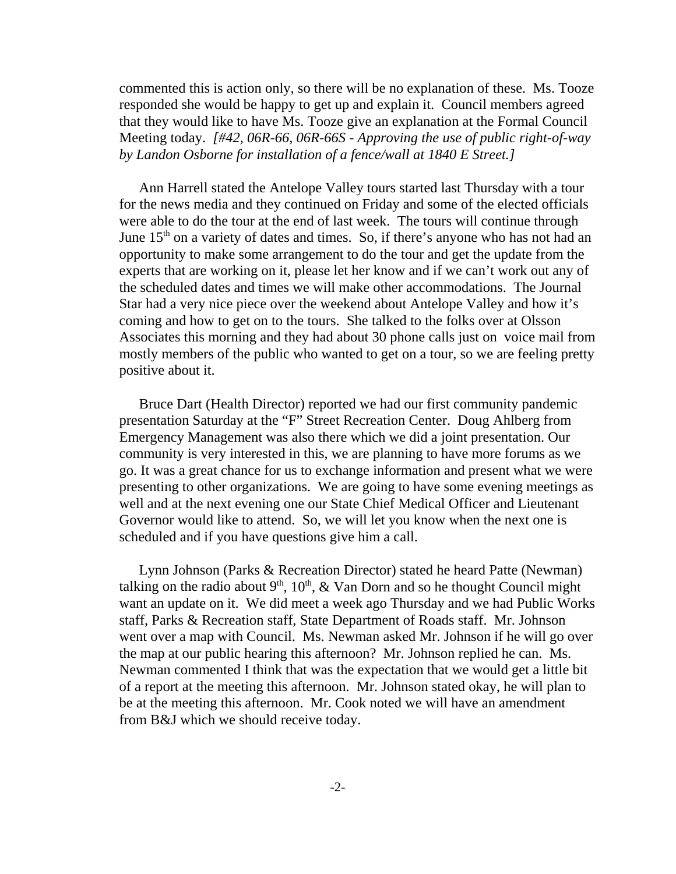commented this is action only, so there will be no explanation of these. Ms. Tooze responded she would be happy to get up and explain it. Council members agreed that they would like to have Ms. Tooze give an explanation at the Formal Council Meeting today. *[#42, 06R-66, 06R-66S - Approving the use of public right-of-way by Landon Osborne for installation of a fence/wall at 1840 E Street.]* 

Ann Harrell stated the Antelope Valley tours started last Thursday with a tour for the news media and they continued on Friday and some of the elected officials were able to do the tour at the end of last week. The tours will continue through June  $15<sup>th</sup>$  on a variety of dates and times. So, if there's anyone who has not had an opportunity to make some arrangement to do the tour and get the update from the experts that are working on it, please let her know and if we can't work out any of the scheduled dates and times we will make other accommodations. The Journal Star had a very nice piece over the weekend about Antelope Valley and how it's coming and how to get on to the tours. She talked to the folks over at Olsson Associates this morning and they had about 30 phone calls just on voice mail from mostly members of the public who wanted to get on a tour, so we are feeling pretty positive about it.

Bruce Dart (Health Director) reported we had our first community pandemic presentation Saturday at the "F" Street Recreation Center. Doug Ahlberg from Emergency Management was also there which we did a joint presentation. Our community is very interested in this, we are planning to have more forums as we go. It was a great chance for us to exchange information and present what we were presenting to other organizations. We are going to have some evening meetings as well and at the next evening one our State Chief Medical Officer and Lieutenant Governor would like to attend. So, we will let you know when the next one is scheduled and if you have questions give him a call.

Lynn Johnson (Parks & Recreation Director) stated he heard Patte (Newman) talking on the radio about  $9<sup>th</sup>$ ,  $10<sup>th</sup>$ , & Van Dorn and so he thought Council might want an update on it. We did meet a week ago Thursday and we had Public Works staff, Parks & Recreation staff, State Department of Roads staff. Mr. Johnson went over a map with Council. Ms. Newman asked Mr. Johnson if he will go over the map at our public hearing this afternoon? Mr. Johnson replied he can. Ms. Newman commented I think that was the expectation that we would get a little bit of a report at the meeting this afternoon. Mr. Johnson stated okay, he will plan to be at the meeting this afternoon. Mr. Cook noted we will have an amendment from B&J which we should receive today.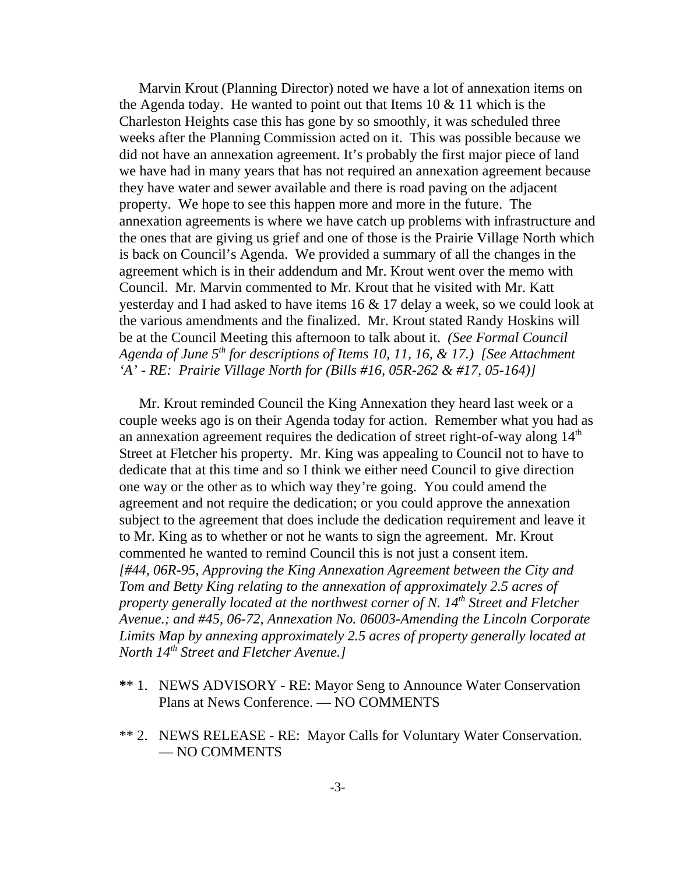Marvin Krout (Planning Director) noted we have a lot of annexation items on the Agenda today. He wanted to point out that Items  $10 \& 11$  which is the Charleston Heights case this has gone by so smoothly, it was scheduled three weeks after the Planning Commission acted on it. This was possible because we did not have an annexation agreement. It's probably the first major piece of land we have had in many years that has not required an annexation agreement because they have water and sewer available and there is road paving on the adjacent property. We hope to see this happen more and more in the future. The annexation agreements is where we have catch up problems with infrastructure and the ones that are giving us grief and one of those is the Prairie Village North which is back on Council's Agenda. We provided a summary of all the changes in the agreement which is in their addendum and Mr. Krout went over the memo with Council. Mr. Marvin commented to Mr. Krout that he visited with Mr. Katt yesterday and I had asked to have items 16 & 17 delay a week, so we could look at the various amendments and the finalized. Mr. Krout stated Randy Hoskins will be at the Council Meeting this afternoon to talk about it. *(See Formal Council Agenda of June 5th for descriptions of Items 10, 11, 16, & 17.) [See Attachment 'A' - RE: Prairie Village North for (Bills #16, 05R-262 & #17, 05-164)]* 

Mr. Krout reminded Council the King Annexation they heard last week or a couple weeks ago is on their Agenda today for action. Remember what you had as an annexation agreement requires the dedication of street right-of-way along  $14<sup>th</sup>$ Street at Fletcher his property. Mr. King was appealing to Council not to have to dedicate that at this time and so I think we either need Council to give direction one way or the other as to which way they're going. You could amend the agreement and not require the dedication; or you could approve the annexation subject to the agreement that does include the dedication requirement and leave it to Mr. King as to whether or not he wants to sign the agreement. Mr. Krout commented he wanted to remind Council this is not just a consent item. *[#44, 06R-95, Approving the King Annexation Agreement between the City and Tom and Betty King relating to the annexation of approximately 2.5 acres of property generally located at the northwest corner of N. 14th Street and Fletcher Avenue.; and #45, 06-72, Annexation No. 06003-Amending the Lincoln Corporate Limits Map by annexing approximately 2.5 acres of property generally located at North 14th Street and Fletcher Avenue.]* 

- **\***\* 1. NEWS ADVISORY RE: Mayor Seng to Announce Water Conservation Plans at News Conference. — NO COMMENTS
- \*\* 2. NEWS RELEASE RE: Mayor Calls for Voluntary Water Conservation. — NO COMMENTS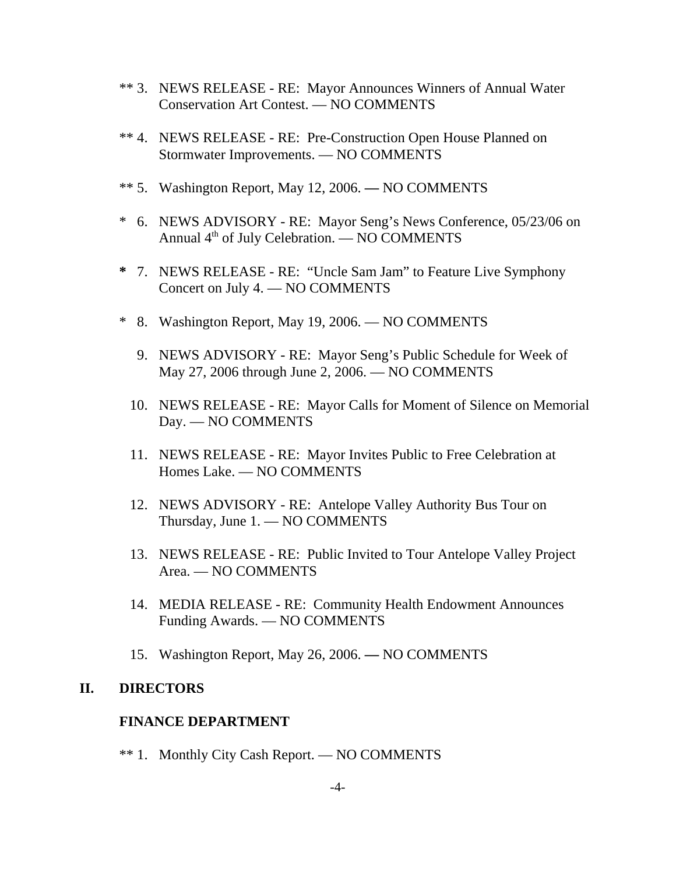- \*\* 3. NEWS RELEASE RE: Mayor Announces Winners of Annual Water Conservation Art Contest. — NO COMMENTS
- \*\* 4. NEWS RELEASE RE: Pre-Construction Open House Planned on Stormwater Improvements. — NO COMMENTS
- \*\* 5. Washington Report, May 12, 2006.NO COMMENTS
- \* 6. NEWS ADVISORY RE: Mayor Seng's News Conference, 05/23/06 on Annual  $4<sup>th</sup>$  of July Celebration. — NO COMMENTS
- **\*** 7. NEWS RELEASE RE: "Uncle Sam Jam" to Feature Live Symphony Concert on July 4. — NO COMMENTS
- \* 8. Washington Report, May 19, 2006. NO COMMENTS
	- 9. NEWS ADVISORY RE: Mayor Seng's Public Schedule for Week of May 27, 2006 through June 2, 2006. — NO COMMENTS
	- 10. NEWS RELEASE RE: Mayor Calls for Moment of Silence on Memorial Day. — NO COMMENTS
	- 11. NEWS RELEASE RE: Mayor Invites Public to Free Celebration at Homes Lake. — NO COMMENTS
	- 12. NEWS ADVISORY RE: Antelope Valley Authority Bus Tour on Thursday, June 1. — NO COMMENTS
	- 13. NEWS RELEASE RE: Public Invited to Tour Antelope Valley Project Area. — NO COMMENTS
	- 14. MEDIA RELEASE RE: Community Health Endowment Announces Funding Awards. — NO COMMENTS
	- 15. Washington Report, May 26, 2006.NO COMMENTS

# **II. DIRECTORS**

#### **FINANCE DEPARTMENT**

\*\* 1. Monthly City Cash Report. — NO COMMENTS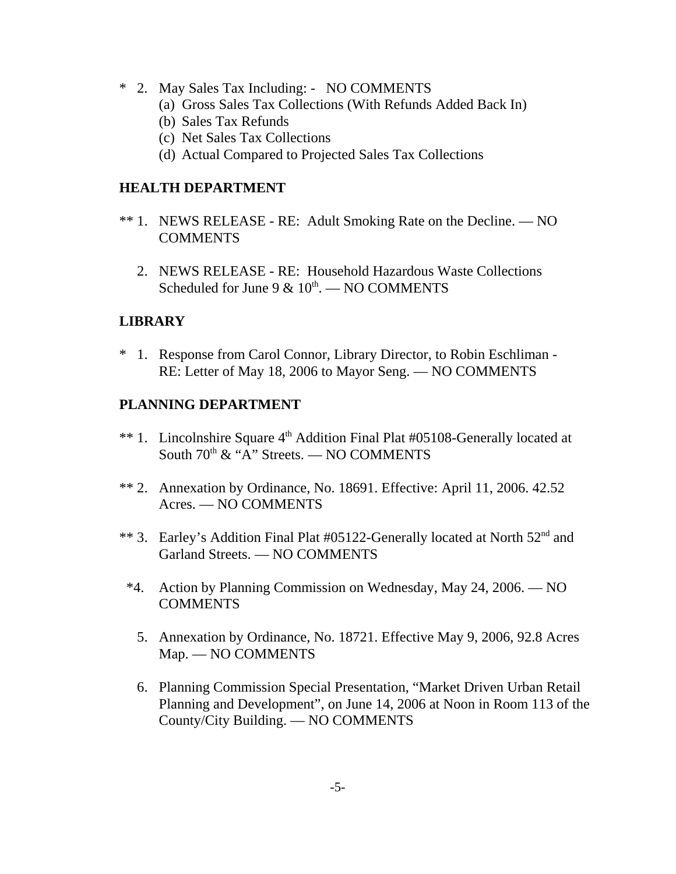- \* 2. May Sales Tax Including: NO COMMENTS
	- (a) Gross Sales Tax Collections (With Refunds Added Back In)
	- (b) Sales Tax Refunds
	- (c) Net Sales Tax Collections
	- (d) Actual Compared to Projected Sales Tax Collections

## **HEALTH DEPARTMENT**

- \*\* 1. NEWS RELEASE RE: Adult Smoking Rate on the Decline. NO **COMMENTS** 
	- 2. NEWS RELEASE RE: Household Hazardous Waste Collections Scheduled for June 9  $\&$  10<sup>th</sup>. — NO COMMENTS

# **LIBRARY**

\* 1. Response from Carol Connor, Library Director, to Robin Eschliman - RE: Letter of May 18, 2006 to Mayor Seng. — NO COMMENTS

# **PLANNING DEPARTMENT**

- \*\* 1. Lincolnshire Square 4<sup>th</sup> Addition Final Plat #05108-Generally located at South  $70^{\text{th}}$  & "A" Streets. — NO COMMENTS
- \*\* 2. Annexation by Ordinance, No. 18691. Effective: April 11, 2006. 42.52 Acres. — NO COMMENTS
- \*\* 3. Earley's Addition Final Plat #05122-Generally located at North 52<sup>nd</sup> and Garland Streets. — NO COMMENTS
- \*4. Action by Planning Commission on Wednesday, May 24, 2006. NO **COMMENTS** 
	- 5. Annexation by Ordinance, No. 18721. Effective May 9, 2006, 92.8 Acres Map. — NO COMMENTS
	- 6. Planning Commission Special Presentation, "Market Driven Urban Retail Planning and Development", on June 14, 2006 at Noon in Room 113 of the County/City Building. — NO COMMENTS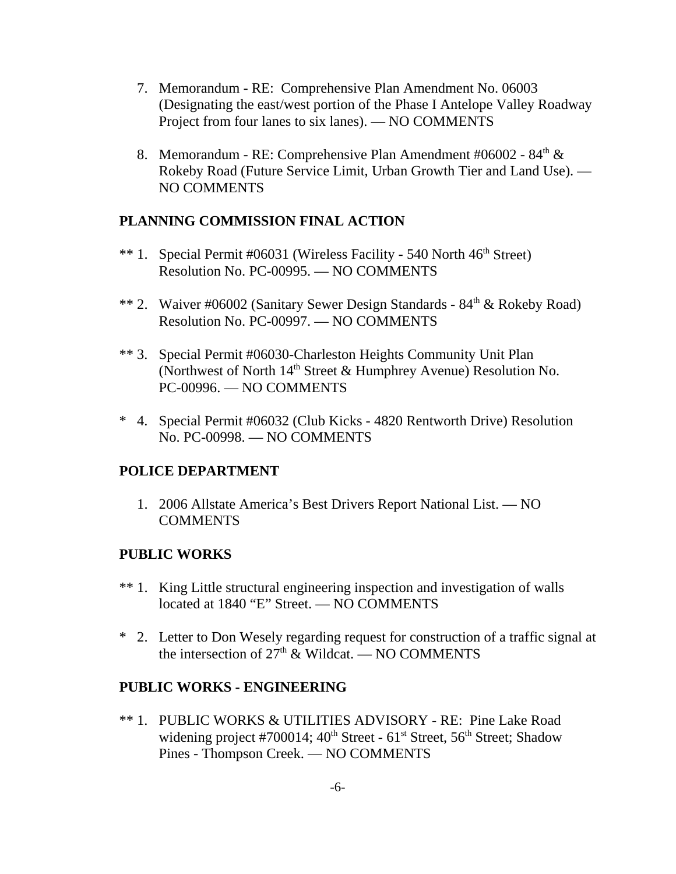- 7. Memorandum RE: Comprehensive Plan Amendment No. 06003 (Designating the east/west portion of the Phase I Antelope Valley Roadway Project from four lanes to six lanes). — NO COMMENTS
- 8. Memorandum RE: Comprehensive Plan Amendment #06002 84<sup>th</sup> & Rokeby Road (Future Service Limit, Urban Growth Tier and Land Use). — NO COMMENTS

# **PLANNING COMMISSION FINAL ACTION**

- \*\* 1. Special Permit #06031 (Wireless Facility 540 North 46<sup>th</sup> Street) Resolution No. PC-00995. — NO COMMENTS
- \*\* 2. Waiver #06002 (Sanitary Sewer Design Standards  $84<sup>th</sup>$  & Rokeby Road) Resolution No. PC-00997. — NO COMMENTS
- \*\* 3. Special Permit #06030-Charleston Heights Community Unit Plan (Northwest of North  $14<sup>th</sup>$  Street & Humphrey Avenue) Resolution No. PC-00996. — NO COMMENTS
- \* 4. Special Permit #06032 (Club Kicks 4820 Rentworth Drive) Resolution No. PC-00998. — NO COMMENTS

# **POLICE DEPARTMENT**

 1. 2006 Allstate America's Best Drivers Report National List. — NO **COMMENTS** 

# **PUBLIC WORKS**

- \*\* 1. King Little structural engineering inspection and investigation of walls located at 1840 "E" Street. — NO COMMENTS
- \* 2. Letter to Don Wesely regarding request for construction of a traffic signal at the intersection of  $27<sup>th</sup>$  & Wildcat. — NO COMMENTS

# **PUBLIC WORKS - ENGINEERING**

\*\* 1. PUBLIC WORKS & UTILITIES ADVISORY - RE: Pine Lake Road widening project #700014;  $40^{th}$  Street -  $61^{st}$  Street,  $56^{th}$  Street; Shadow Pines - Thompson Creek. — NO COMMENTS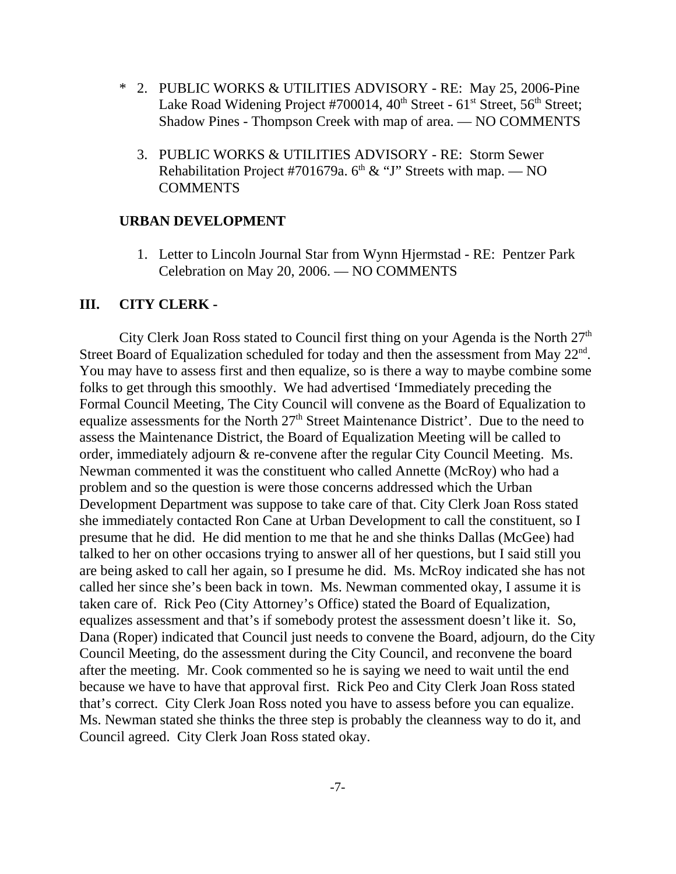- \* 2. PUBLIC WORKS & UTILITIES ADVISORY RE: May 25, 2006-Pine Lake Road Widening Project #700014,  $40^{th}$  Street -  $61^{st}$  Street,  $56^{th}$  Street; Shadow Pines - Thompson Creek with map of area. — NO COMMENTS
	- 3. PUBLIC WORKS & UTILITIES ADVISORY RE: Storm Sewer Rehabilitation Project #701679a.  $6<sup>th</sup>$  & "J" Streets with map. — NO COMMENTS

#### **URBAN DEVELOPMENT**

 1. Letter to Lincoln Journal Star from Wynn Hjermstad - RE: Pentzer Park Celebration on May 20, 2006. — NO COMMENTS

#### **III. CITY CLERK -**

City Clerk Joan Ross stated to Council first thing on your Agenda is the North  $27<sup>th</sup>$ Street Board of Equalization scheduled for today and then the assessment from May  $22<sup>nd</sup>$ . You may have to assess first and then equalize, so is there a way to maybe combine some folks to get through this smoothly. We had advertised 'Immediately preceding the Formal Council Meeting, The City Council will convene as the Board of Equalization to equalize assessments for the North 27<sup>th</sup> Street Maintenance District'. Due to the need to assess the Maintenance District, the Board of Equalization Meeting will be called to order, immediately adjourn & re-convene after the regular City Council Meeting. Ms. Newman commented it was the constituent who called Annette (McRoy) who had a problem and so the question is were those concerns addressed which the Urban Development Department was suppose to take care of that. City Clerk Joan Ross stated she immediately contacted Ron Cane at Urban Development to call the constituent, so I presume that he did. He did mention to me that he and she thinks Dallas (McGee) had talked to her on other occasions trying to answer all of her questions, but I said still you are being asked to call her again, so I presume he did. Ms. McRoy indicated she has not called her since she's been back in town. Ms. Newman commented okay, I assume it is taken care of. Rick Peo (City Attorney's Office) stated the Board of Equalization, equalizes assessment and that's if somebody protest the assessment doesn't like it. So, Dana (Roper) indicated that Council just needs to convene the Board, adjourn, do the City Council Meeting, do the assessment during the City Council, and reconvene the board after the meeting. Mr. Cook commented so he is saying we need to wait until the end because we have to have that approval first. Rick Peo and City Clerk Joan Ross stated that's correct. City Clerk Joan Ross noted you have to assess before you can equalize. Ms. Newman stated she thinks the three step is probably the cleanness way to do it, and Council agreed. City Clerk Joan Ross stated okay.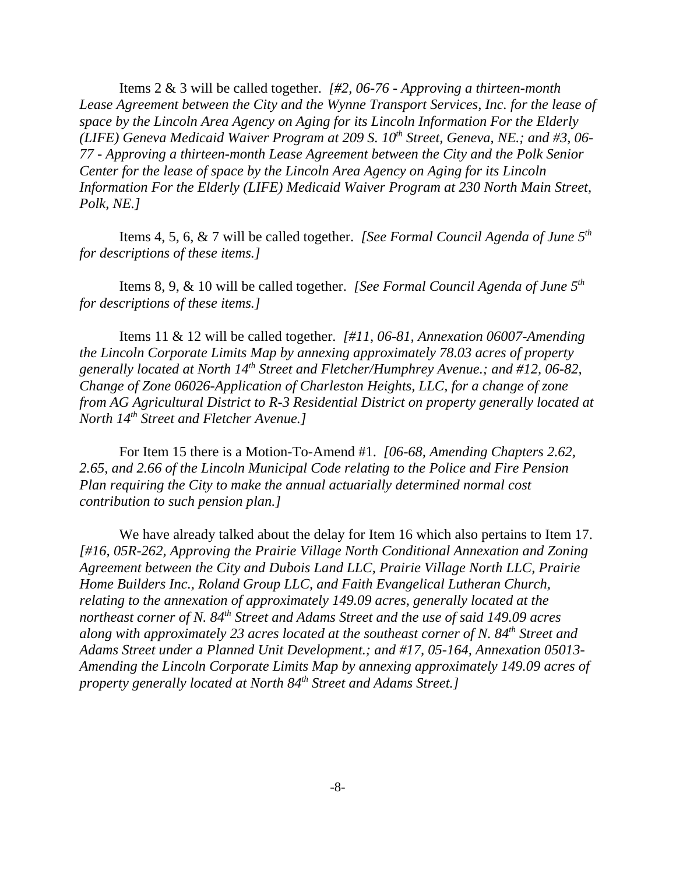Items 2 & 3 will be called together. *[#2, 06-76 - Approving a thirteen-month Lease Agreement between the City and the Wynne Transport Services, Inc. for the lease of space by the Lincoln Area Agency on Aging for its Lincoln Information For the Elderly (LIFE) Geneva Medicaid Waiver Program at 209 S. 10<sup>th</sup> Street, Geneva, NE.; and #3, 06-77 - Approving a thirteen-month Lease Agreement between the City and the Polk Senior Center for the lease of space by the Lincoln Area Agency on Aging for its Lincoln Information For the Elderly (LIFE) Medicaid Waiver Program at 230 North Main Street, Polk, NE.]* 

Items 4, 5, 6, & 7 will be called together. *[See Formal Council Agenda of June 5th for descriptions of these items.]* 

Items 8, 9, & 10 will be called together. *[See Formal Council Agenda of June 5th for descriptions of these items.]* 

Items 11 & 12 will be called together. *[#11, 06-81, Annexation 06007-Amending the Lincoln Corporate Limits Map by annexing approximately 78.03 acres of property generally located at North 14th Street and Fletcher/Humphrey Avenue.; and #12, 06-82, Change of Zone 06026-Application of Charleston Heights, LLC, for a change of zone from AG Agricultural District to R-3 Residential District on property generally located at North 14th Street and Fletcher Avenue.]* 

For Item 15 there is a Motion-To-Amend #1. *[06-68, Amending Chapters 2.62, 2.65, and 2.66 of the Lincoln Municipal Code relating to the Police and Fire Pension Plan requiring the City to make the annual actuarially determined normal cost contribution to such pension plan.]* 

We have already talked about the delay for Item 16 which also pertains to Item 17. *[#16, 05R-262, Approving the Prairie Village North Conditional Annexation and Zoning Agreement between the City and Dubois Land LLC, Prairie Village North LLC, Prairie Home Builders Inc., Roland Group LLC, and Faith Evangelical Lutheran Church, relating to the annexation of approximately 149.09 acres, generally located at the northeast corner of N. 84th Street and Adams Street and the use of said 149.09 acres along with approximately 23 acres located at the southeast corner of N. 84th Street and Adams Street under a Planned Unit Development.; and #17, 05-164, Annexation 05013- Amending the Lincoln Corporate Limits Map by annexing approximately 149.09 acres of property generally located at North 84<sup>th</sup> Street and Adams Street.]*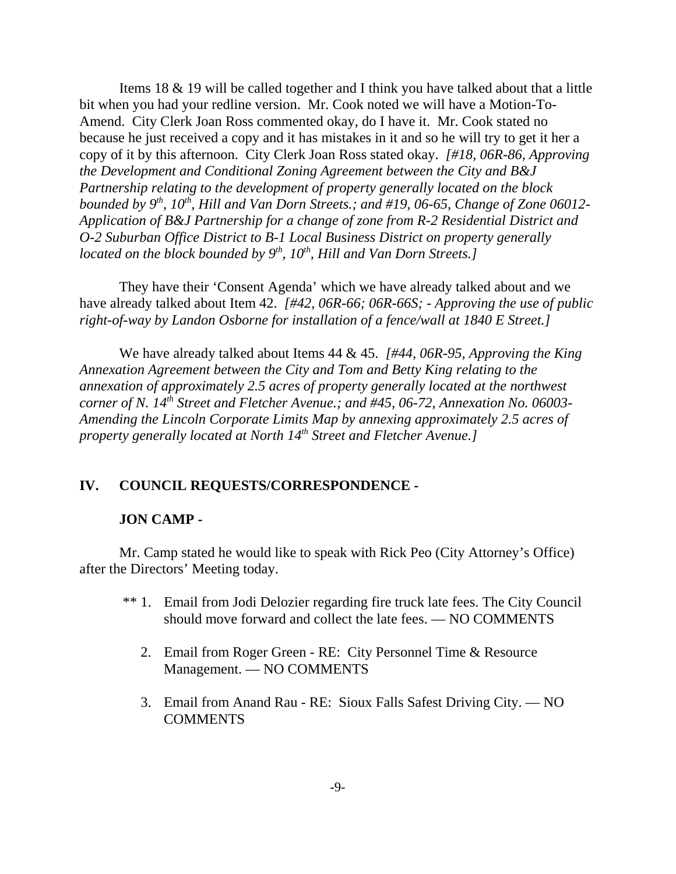Items 18 & 19 will be called together and I think you have talked about that a little bit when you had your redline version. Mr. Cook noted we will have a Motion-To-Amend. City Clerk Joan Ross commented okay, do I have it. Mr. Cook stated no because he just received a copy and it has mistakes in it and so he will try to get it her a copy of it by this afternoon. City Clerk Joan Ross stated okay. *[#18, 06R-86, Approving the Development and Conditional Zoning Agreement between the City and B&J Partnership relating to the development of property generally located on the block bounded by 9<sup>th</sup>, 10<sup>th</sup>, Hill and Van Dorn Streets.; and #19, 06-65, Change of Zone 06012-Application of B&J Partnership for a change of zone from R-2 Residential District and O-2 Suburban Office District to B-1 Local Business District on property generally located on the block bounded by 9<sup>th</sup>, 10<sup>th</sup>, Hill and Van Dorn Streets.]* 

They have their 'Consent Agenda' which we have already talked about and we have already talked about Item 42. *[#42, 06R-66; 06R-66S; - Approving the use of public right-of-way by Landon Osborne for installation of a fence/wall at 1840 E Street.]* 

We have already talked about Items 44 & 45. *[#44, 06R-95, Approving the King Annexation Agreement between the City and Tom and Betty King relating to the annexation of approximately 2.5 acres of property generally located at the northwest corner of N. 14th Street and Fletcher Avenue.; and #45, 06-72, Annexation No. 06003- Amending the Lincoln Corporate Limits Map by annexing approximately 2.5 acres of property generally located at North 14th Street and Fletcher Avenue.]*

#### **IV. COUNCIL REQUESTS/CORRESPONDENCE -**

#### **JON CAMP -**

Mr. Camp stated he would like to speak with Rick Peo (City Attorney's Office) after the Directors' Meeting today.

- \*\* 1. Email from Jodi Delozier regarding fire truck late fees. The City Council should move forward and collect the late fees. — NO COMMENTS
	- 2. Email from Roger Green RE: City Personnel Time & Resource Management. — NO COMMENTS
	- 3. Email from Anand Rau RE: Sioux Falls Safest Driving City. NO COMMENTS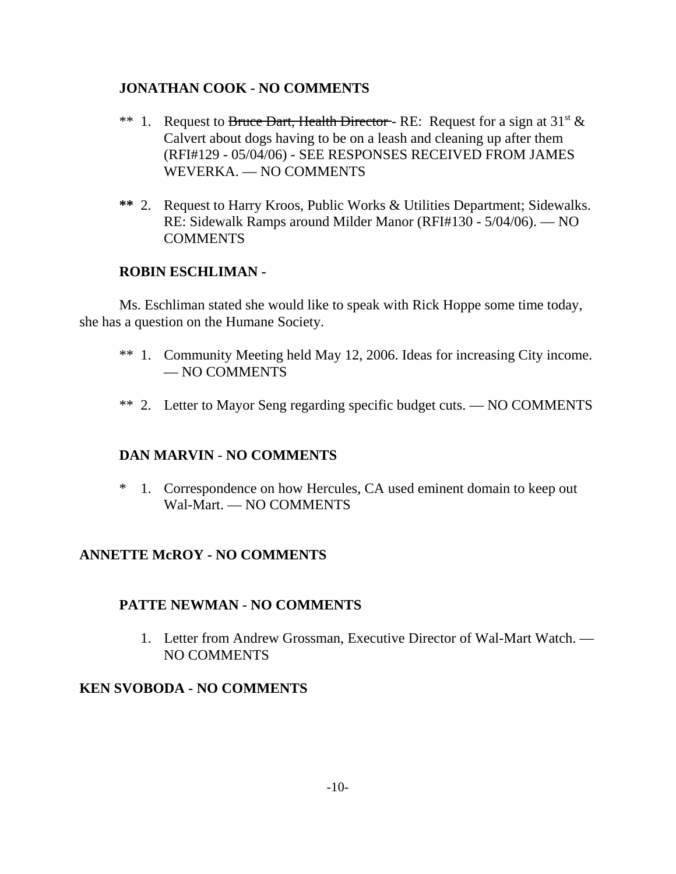# **JONATHAN COOK - NO COMMENTS**

- \*\* 1. Request to Bruce Dart, Health Director RE: Request for a sign at  $31^{st} \&$ Calvert about dogs having to be on a leash and cleaning up after them (RFI#129 - 05/04/06) - SEE RESPONSES RECEIVED FROM JAMES WEVERKA. — NO COMMENTS
- **\*\*** 2. Request to Harry Kroos, Public Works & Utilities Department; Sidewalks. RE: Sidewalk Ramps around Milder Manor (RFI#130 - 5/04/06). — NO COMMENTS

# **ROBIN ESCHLIMAN -**

Ms. Eschliman stated she would like to speak with Rick Hoppe some time today, she has a question on the Humane Society.

- \*\* 1. Community Meeting held May 12, 2006. Ideas for increasing City income. — NO COMMENTS
- \*\* 2. Letter to Mayor Seng regarding specific budget cuts. NO COMMENTS

# **DAN MARVIN** - **NO COMMENTS**

\* 1. Correspondence on how Hercules, CA used eminent domain to keep out Wal-Mart. — NO COMMENTS

# **ANNETTE McROY - NO COMMENTS**

# **PATTE NEWMAN** - **NO COMMENTS**

 1. Letter from Andrew Grossman, Executive Director of Wal-Mart Watch. — NO COMMENTS

# **KEN SVOBODA - NO COMMENTS**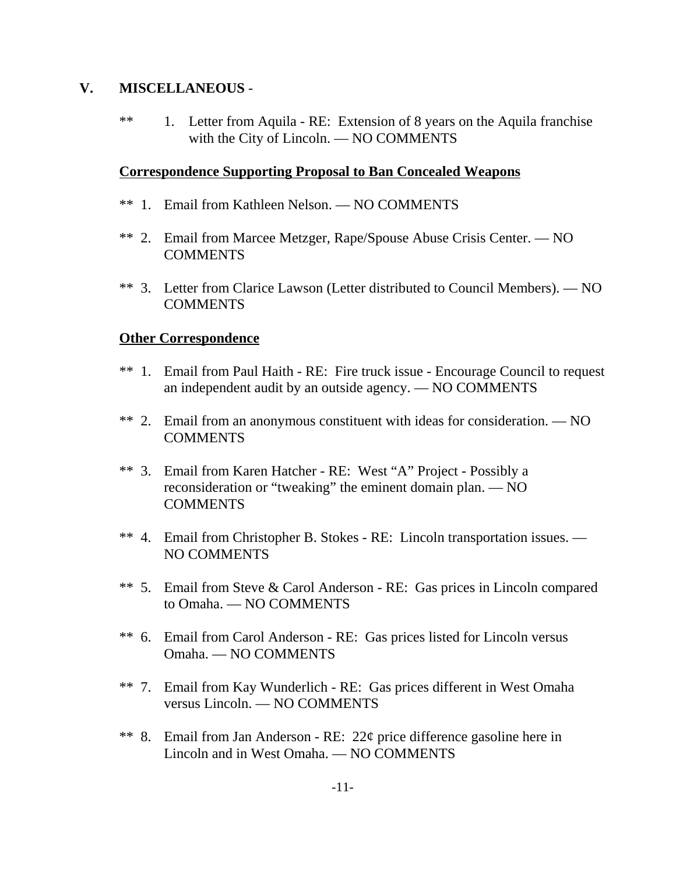# **V. MISCELLANEOUS** -

\*\* 1. Letter from Aquila - RE: Extension of 8 years on the Aquila franchise with the City of Lincoln. — NO COMMENTS

## **Correspondence Supporting Proposal to Ban Concealed Weapons**

- \*\* 1. Email from Kathleen Nelson. NO COMMENTS
- \*\* 2. Email from Marcee Metzger, Rape/Spouse Abuse Crisis Center. NO **COMMENTS**
- \*\* 3. Letter from Clarice Lawson (Letter distributed to Council Members). NO COMMENTS

# **Other Correspondence**

- \*\* 1. Email from Paul Haith RE: Fire truck issue Encourage Council to request an independent audit by an outside agency. — NO COMMENTS
- \*\* 2. Email from an anonymous constituent with ideas for consideration. NO COMMENTS
- \*\* 3. Email from Karen Hatcher RE: West "A" Project Possibly a reconsideration or "tweaking" the eminent domain plan. — NO **COMMENTS**
- \*\* 4. Email from Christopher B. Stokes RE: Lincoln transportation issues. NO COMMENTS
- \*\* 5. Email from Steve & Carol Anderson RE: Gas prices in Lincoln compared to Omaha. — NO COMMENTS
- \*\* 6. Email from Carol Anderson RE: Gas prices listed for Lincoln versus Omaha. — NO COMMENTS
- \*\* 7. Email from Kay Wunderlich RE: Gas prices different in West Omaha versus Lincoln. — NO COMMENTS
- \*\* 8. Email from Jan Anderson RE: 22¢ price difference gasoline here in Lincoln and in West Omaha. — NO COMMENTS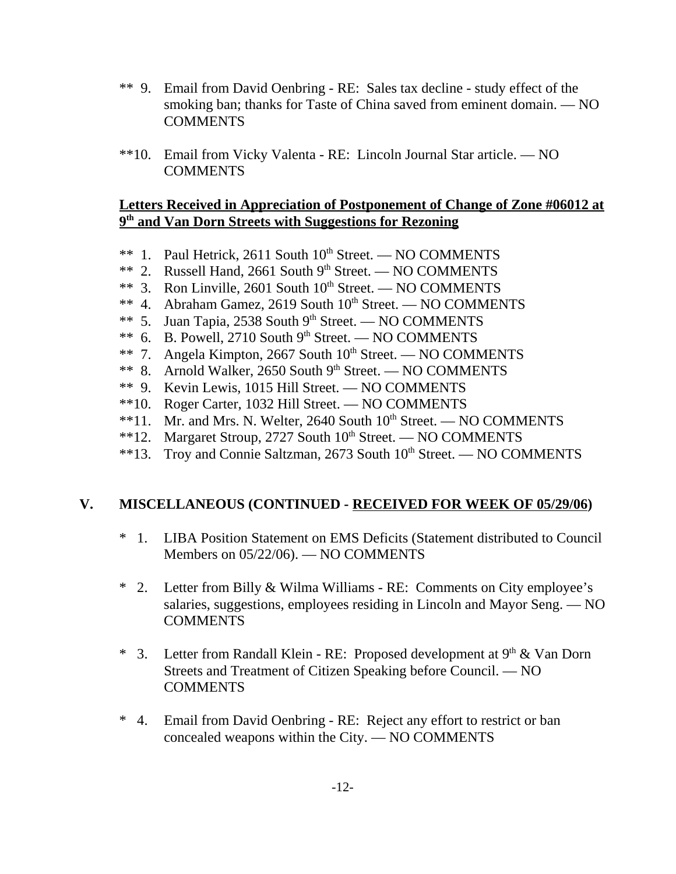- \*\* 9. Email from David Oenbring RE: Sales tax decline study effect of the smoking ban; thanks for Taste of China saved from eminent domain. — NO **COMMENTS**
- \*\*10. Email from Vicky Valenta RE: Lincoln Journal Star article. NO COMMENTS

# **Letters Received in Appreciation of Postponement of Change of Zone #06012 at 9th and Van Dorn Streets with Suggestions for Rezoning**

- \*\* 1. Paul Hetrick, 2611 South 10<sup>th</sup> Street. NO COMMENTS
- \*\* 2. Russell Hand, 2661 South 9th Street. NO COMMENTS
- \*\* 3. Ron Linville, 2601 South  $10^{th}$  Street. NO COMMENTS
- \*\* 4. Abraham Gamez, 2619 South 10<sup>th</sup> Street. NO COMMENTS
- \*\* 5. Juan Tapia, 2538 South  $9<sup>th</sup>$  Street. NO COMMENTS
- \*\* 6. B. Powell, 2710 South 9th Street. NO COMMENTS
- \*\* 7. Angela Kimpton, 2667 South  $10^{th}$  Street. NO COMMENTS
- \*\* 8. Arnold Walker, 2650 South  $9<sup>th</sup>$  Street. NO COMMENTS
- \*\* 9. Kevin Lewis, 1015 Hill Street. NO COMMENTS
- \*\*10. Roger Carter, 1032 Hill Street. NO COMMENTS
- \*\*11. Mr. and Mrs. N. Welter, 2640 South  $10^{th}$  Street. NO COMMENTS
- \*\*12. Margaret Stroup, 2727 South  $10^{th}$  Street. NO COMMENTS
- \*\*13. Troy and Connie Saltzman, 2673 South 10<sup>th</sup> Street. NO COMMENTS

# **V. MISCELLANEOUS (CONTINUED - RECEIVED FOR WEEK OF 05/29/06)**

- \* 1. LIBA Position Statement on EMS Deficits (Statement distributed to Council Members on 05/22/06). — NO COMMENTS
- \* 2. Letter from Billy & Wilma Williams RE: Comments on City employee's salaries, suggestions, employees residing in Lincoln and Mayor Seng. — NO **COMMENTS**
- \* 3. Letter from Randall Klein RE: Proposed development at  $9<sup>th</sup>$  & Van Dorn Streets and Treatment of Citizen Speaking before Council. — NO **COMMENTS**
- \* 4. Email from David Oenbring RE: Reject any effort to restrict or ban concealed weapons within the City. — NO COMMENTS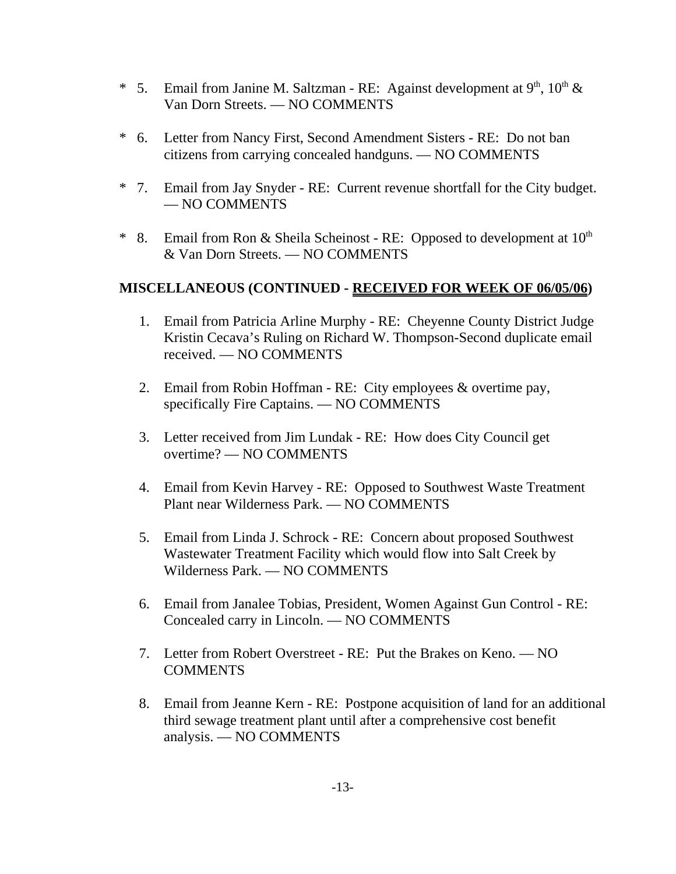- \* 5. Email from Janine M. Saltzman RE: Against development at  $9<sup>th</sup>$ ,  $10<sup>th</sup>$  & Van Dorn Streets. — NO COMMENTS
- \* 6. Letter from Nancy First, Second Amendment Sisters RE: Do not ban citizens from carrying concealed handguns. — NO COMMENTS
- \* 7. Email from Jay Snyder RE: Current revenue shortfall for the City budget. — NO COMMENTS
- \* 8. Email from Ron & Sheila Scheinost RE: Opposed to development at  $10^{th}$ & Van Dorn Streets. — NO COMMENTS

# **MISCELLANEOUS (CONTINUED - RECEIVED FOR WEEK OF 06/05/06)**

- 1. Email from Patricia Arline Murphy RE: Cheyenne County District Judge Kristin Cecava's Ruling on Richard W. Thompson-Second duplicate email received. — NO COMMENTS
- 2. Email from Robin Hoffman RE: City employees & overtime pay, specifically Fire Captains. — NO COMMENTS
- 3. Letter received from Jim Lundak RE: How does City Council get overtime? — NO COMMENTS
- 4. Email from Kevin Harvey RE: Opposed to Southwest Waste Treatment Plant near Wilderness Park. — NO COMMENTS
- 5. Email from Linda J. Schrock RE: Concern about proposed Southwest Wastewater Treatment Facility which would flow into Salt Creek by Wilderness Park. — NO COMMENTS
- 6. Email from Janalee Tobias, President, Women Against Gun Control RE: Concealed carry in Lincoln. — NO COMMENTS
- 7. Letter from Robert Overstreet RE: Put the Brakes on Keno. NO COMMENTS
- 8. Email from Jeanne Kern RE: Postpone acquisition of land for an additional third sewage treatment plant until after a comprehensive cost benefit analysis. — NO COMMENTS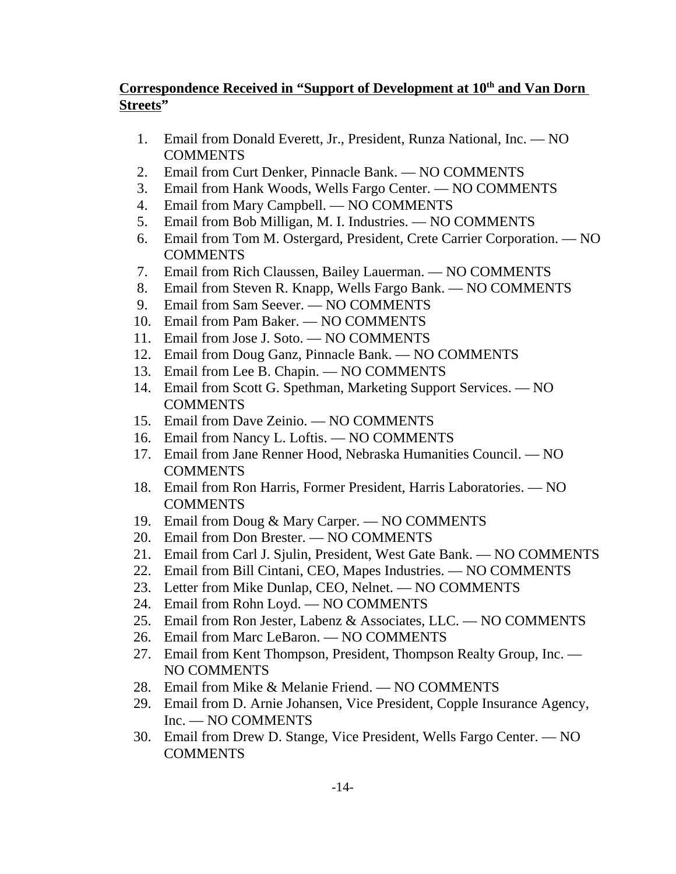# **Correspondence Received in "Support of Development at 10<sup>th</sup> and Van Dorn Streets"**

- 1. Email from Donald Everett, Jr., President, Runza National, Inc. NO **COMMENTS**
- 2. Email from Curt Denker, Pinnacle Bank. NO COMMENTS
- 3. Email from Hank Woods, Wells Fargo Center. NO COMMENTS
- 4. Email from Mary Campbell. NO COMMENTS
- 5. Email from Bob Milligan, M. I. Industries. NO COMMENTS
- 6. Email from Tom M. Ostergard, President, Crete Carrier Corporation. NO COMMENTS
- 7. Email from Rich Claussen, Bailey Lauerman. NO COMMENTS
- 8. Email from Steven R. Knapp, Wells Fargo Bank. NO COMMENTS
- 9. Email from Sam Seever. NO COMMENTS
- 10. Email from Pam Baker. NO COMMENTS
- 11. Email from Jose J. Soto. NO COMMENTS
- 12. Email from Doug Ganz, Pinnacle Bank. NO COMMENTS
- 13. Email from Lee B. Chapin. NO COMMENTS
- 14. Email from Scott G. Spethman, Marketing Support Services. NO **COMMENTS**
- 15. Email from Dave Zeinio. NO COMMENTS
- 16. Email from Nancy L. Loftis. NO COMMENTS
- 17. Email from Jane Renner Hood, Nebraska Humanities Council. NO **COMMENTS**
- 18. Email from Ron Harris, Former President, Harris Laboratories. NO COMMENTS
- 19. Email from Doug & Mary Carper. NO COMMENTS
- 20. Email from Don Brester. NO COMMENTS
- 21. Email from Carl J. Sjulin, President, West Gate Bank. NO COMMENTS
- 22. Email from Bill Cintani, CEO, Mapes Industries. NO COMMENTS
- 23. Letter from Mike Dunlap, CEO, Nelnet. NO COMMENTS
- 24. Email from Rohn Loyd. NO COMMENTS
- 25. Email from Ron Jester, Labenz & Associates, LLC. NO COMMENTS
- 26. Email from Marc LeBaron. NO COMMENTS
- 27. Email from Kent Thompson, President, Thompson Realty Group, Inc. NO COMMENTS
- 28. Email from Mike & Melanie Friend. NO COMMENTS
- 29. Email from D. Arnie Johansen, Vice President, Copple Insurance Agency, Inc. — NO COMMENTS
- 30. Email from Drew D. Stange, Vice President, Wells Fargo Center. NO **COMMENTS**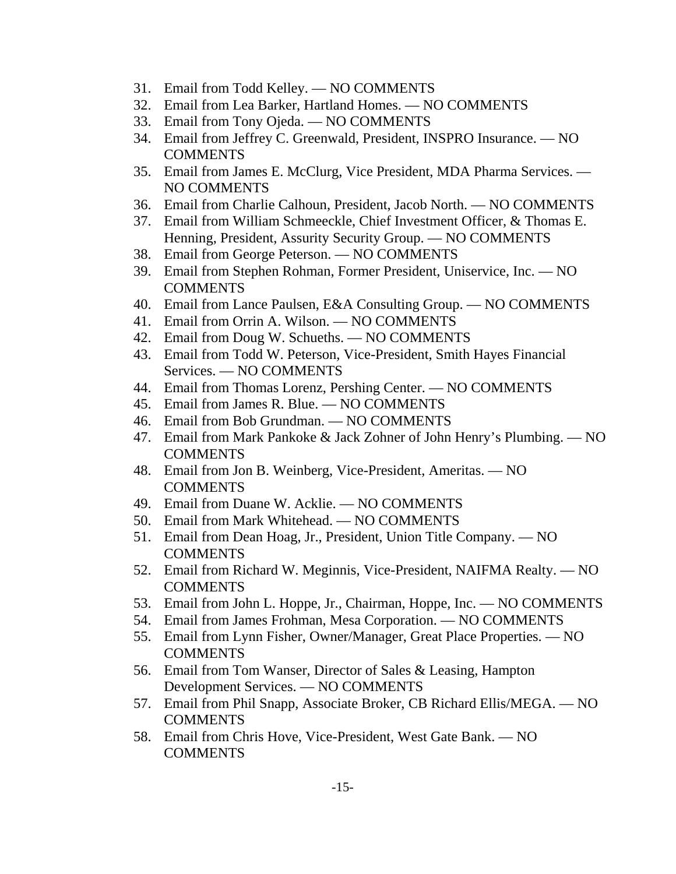- 31. Email from Todd Kelley. NO COMMENTS
- 32. Email from Lea Barker, Hartland Homes. NO COMMENTS
- 33. Email from Tony Ojeda. NO COMMENTS
- 34. Email from Jeffrey C. Greenwald, President, INSPRO Insurance. NO COMMENTS
- 35. Email from James E. McClurg, Vice President, MDA Pharma Services. NO COMMENTS
- 36. Email from Charlie Calhoun, President, Jacob North. NO COMMENTS
- 37. Email from William Schmeeckle, Chief Investment Officer, & Thomas E. Henning, President, Assurity Security Group. — NO COMMENTS
- 38. Email from George Peterson. NO COMMENTS
- 39. Email from Stephen Rohman, Former President, Uniservice, Inc. NO **COMMENTS**
- 40. Email from Lance Paulsen, E&A Consulting Group. NO COMMENTS
- 41. Email from Orrin A. Wilson. NO COMMENTS
- 42. Email from Doug W. Schueths. NO COMMENTS
- 43. Email from Todd W. Peterson, Vice-President, Smith Hayes Financial Services. — NO COMMENTS
- 44. Email from Thomas Lorenz, Pershing Center. NO COMMENTS
- 45. Email from James R. Blue. NO COMMENTS
- 46. Email from Bob Grundman. NO COMMENTS
- 47. Email from Mark Pankoke & Jack Zohner of John Henry's Plumbing. NO COMMENTS
- 48. Email from Jon B. Weinberg, Vice-President, Ameritas. NO **COMMENTS**
- 49. Email from Duane W. Acklie. NO COMMENTS
- 50. Email from Mark Whitehead. NO COMMENTS
- 51. Email from Dean Hoag, Jr., President, Union Title Company. NO COMMENTS
- 52. Email from Richard W. Meginnis, Vice-President, NAIFMA Realty. NO COMMENTS
- 53. Email from John L. Hoppe, Jr., Chairman, Hoppe, Inc. NO COMMENTS
- 54. Email from James Frohman, Mesa Corporation. NO COMMENTS
- 55. Email from Lynn Fisher, Owner/Manager, Great Place Properties. NO COMMENTS
- 56. Email from Tom Wanser, Director of Sales & Leasing, Hampton Development Services. — NO COMMENTS
- 57. Email from Phil Snapp, Associate Broker, CB Richard Ellis/MEGA. NO **COMMENTS**
- 58. Email from Chris Hove, Vice-President, West Gate Bank. NO COMMENTS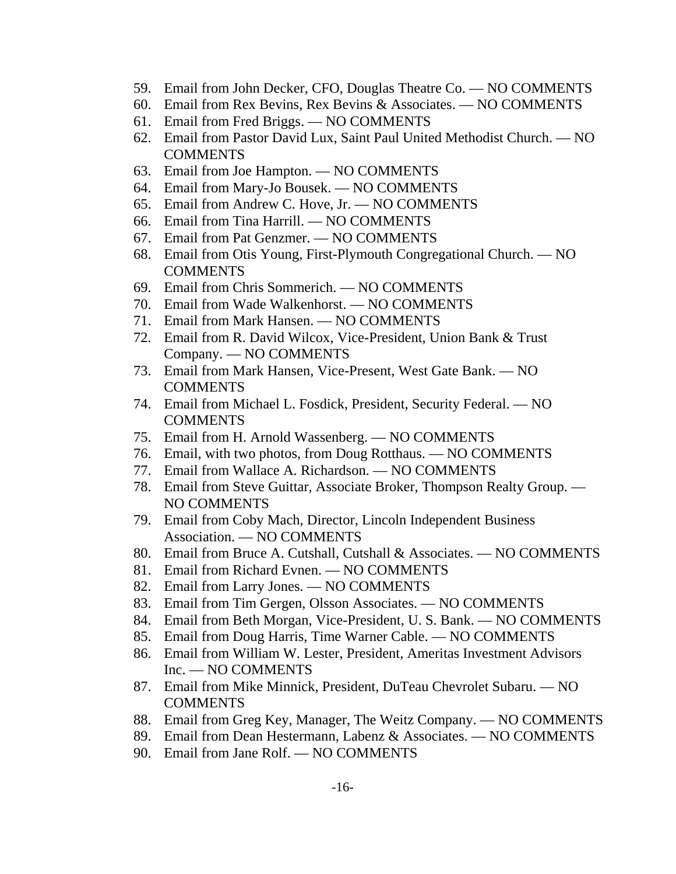- 59. Email from John Decker, CFO, Douglas Theatre Co. NO COMMENTS
- 60. Email from Rex Bevins, Rex Bevins & Associates. NO COMMENTS
- 61. Email from Fred Briggs. NO COMMENTS
- 62. Email from Pastor David Lux, Saint Paul United Methodist Church. NO **COMMENTS**
- 63. Email from Joe Hampton. NO COMMENTS
- 64. Email from Mary-Jo Bousek. NO COMMENTS
- 65. Email from Andrew C. Hove, Jr. NO COMMENTS
- 66. Email from Tina Harrill. NO COMMENTS
- 67. Email from Pat Genzmer. NO COMMENTS
- 68. Email from Otis Young, First-Plymouth Congregational Church. NO COMMENTS
- 69. Email from Chris Sommerich. NO COMMENTS
- 70. Email from Wade Walkenhorst. NO COMMENTS
- 71. Email from Mark Hansen. NO COMMENTS
- 72. Email from R. David Wilcox, Vice-President, Union Bank & Trust Company. — NO COMMENTS
- 73. Email from Mark Hansen, Vice-Present, West Gate Bank. NO COMMENTS
- 74. Email from Michael L. Fosdick, President, Security Federal. NO COMMENTS
- 75. Email from H. Arnold Wassenberg. NO COMMENTS
- 76. Email, with two photos, from Doug Rotthaus. NO COMMENTS
- 77. Email from Wallace A. Richardson. NO COMMENTS
- 78. Email from Steve Guittar, Associate Broker, Thompson Realty Group. NO COMMENTS
- 79. Email from Coby Mach, Director, Lincoln Independent Business Association. — NO COMMENTS
- 80. Email from Bruce A. Cutshall, Cutshall & Associates. NO COMMENTS
- 81. Email from Richard Evnen. NO COMMENTS
- 82. Email from Larry Jones. NO COMMENTS
- 83. Email from Tim Gergen, Olsson Associates. NO COMMENTS
- 84. Email from Beth Morgan, Vice-President, U. S. Bank. NO COMMENTS
- 85. Email from Doug Harris, Time Warner Cable. NO COMMENTS
- 86. Email from William W. Lester, President, Ameritas Investment Advisors Inc. — NO COMMENTS
- 87. Email from Mike Minnick, President, DuTeau Chevrolet Subaru. NO COMMENTS
- 88. Email from Greg Key, Manager, The Weitz Company. NO COMMENTS
- 89. Email from Dean Hestermann, Labenz & Associates. NO COMMENTS
- 90. Email from Jane Rolf. NO COMMENTS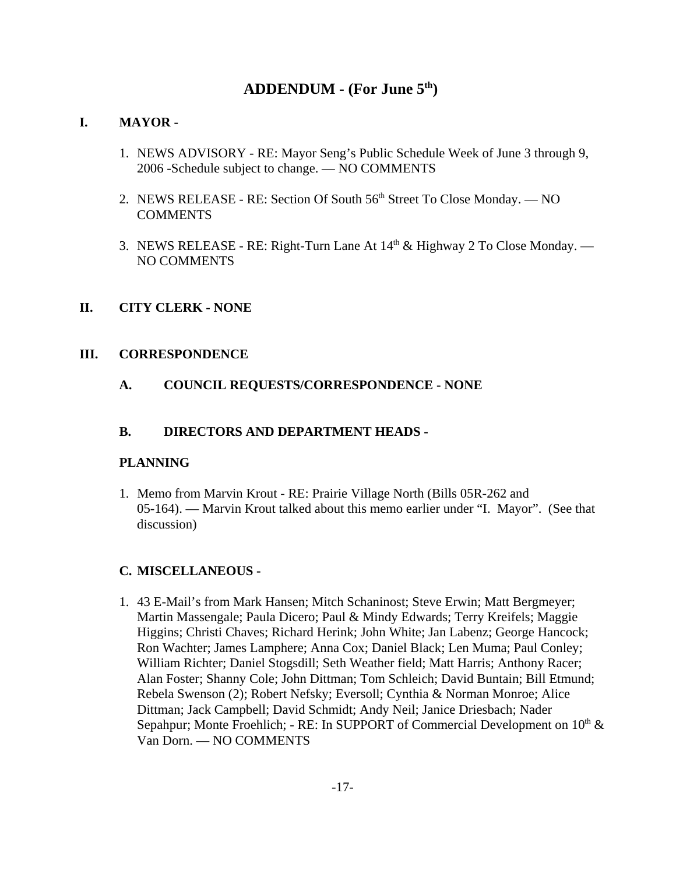# **ADDENDUM - (For June 5th)**

#### **I. MAYOR -**

- 1. NEWS ADVISORY RE: Mayor Seng's Public Schedule Week of June 3 through 9, 2006 -Schedule subject to change. — NO COMMENTS
- 2. NEWS RELEASE RE: Section Of South 56<sup>th</sup> Street To Close Monday. NO COMMENTS
- 3. NEWS RELEASE RE: Right-Turn Lane At  $14<sup>th</sup>$  & Highway 2 To Close Monday. NO COMMENTS

#### **II. CITY CLERK - NONE**

#### **III. CORRESPONDENCE**

**A. COUNCIL REQUESTS/CORRESPONDENCE - NONE**

#### **B. DIRECTORS AND DEPARTMENT HEADS -**

#### **PLANNING**

1. Memo from Marvin Krout - RE: Prairie Village North (Bills 05R-262 and 05-164). — Marvin Krout talked about this memo earlier under "I. Mayor". (See that discussion)

#### **C. MISCELLANEOUS -**

1. 43 E-Mail's from Mark Hansen; Mitch Schaninost; Steve Erwin; Matt Bergmeyer; Martin Massengale; Paula Dicero; Paul & Mindy Edwards; Terry Kreifels; Maggie Higgins; Christi Chaves; Richard Herink; John White; Jan Labenz; George Hancock; Ron Wachter; James Lamphere; Anna Cox; Daniel Black; Len Muma; Paul Conley; William Richter; Daniel Stogsdill; Seth Weather field; Matt Harris; Anthony Racer; Alan Foster; Shanny Cole; John Dittman; Tom Schleich; David Buntain; Bill Etmund; Rebela Swenson (2); Robert Nefsky; Eversoll; Cynthia & Norman Monroe; Alice Dittman; Jack Campbell; David Schmidt; Andy Neil; Janice Driesbach; Nader Sepahpur; Monte Froehlich; - RE: In SUPPORT of Commercial Development on  $10<sup>th</sup>$  & Van Dorn. — NO COMMENTS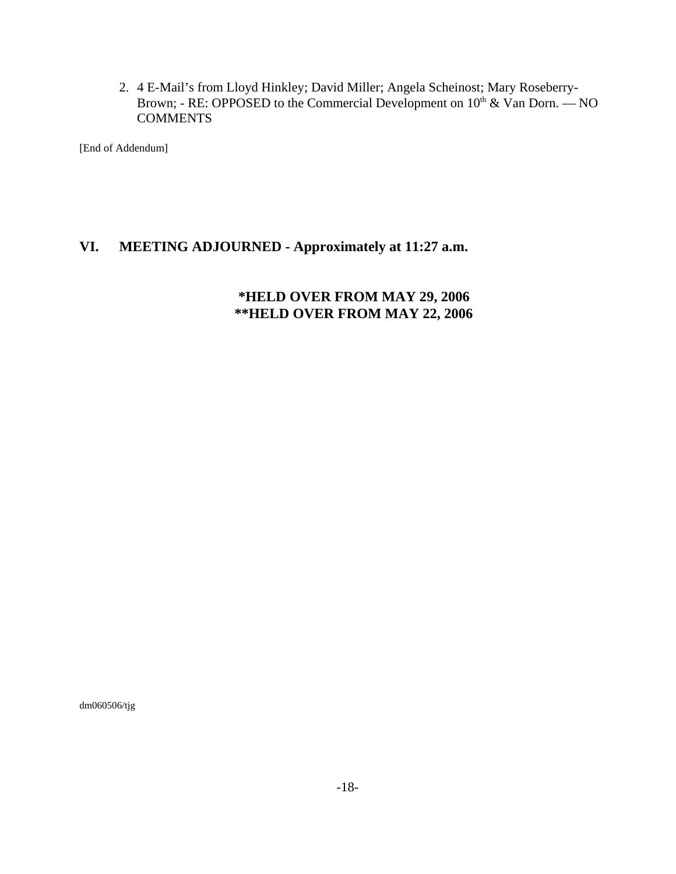2. 4 E-Mail's from Lloyd Hinkley; David Miller; Angela Scheinost; Mary Roseberry-Brown; - RE: OPPOSED to the Commercial Development on  $10<sup>th</sup>$  & Van Dorn. — NO **COMMENTS** 

[End of Addendum]

# **VI. MEETING ADJOURNED - Approximately at 11:27 a.m.**

# **\*HELD OVER FROM MAY 29, 2006 \*\*HELD OVER FROM MAY 22, 2006**

dm060506/tjg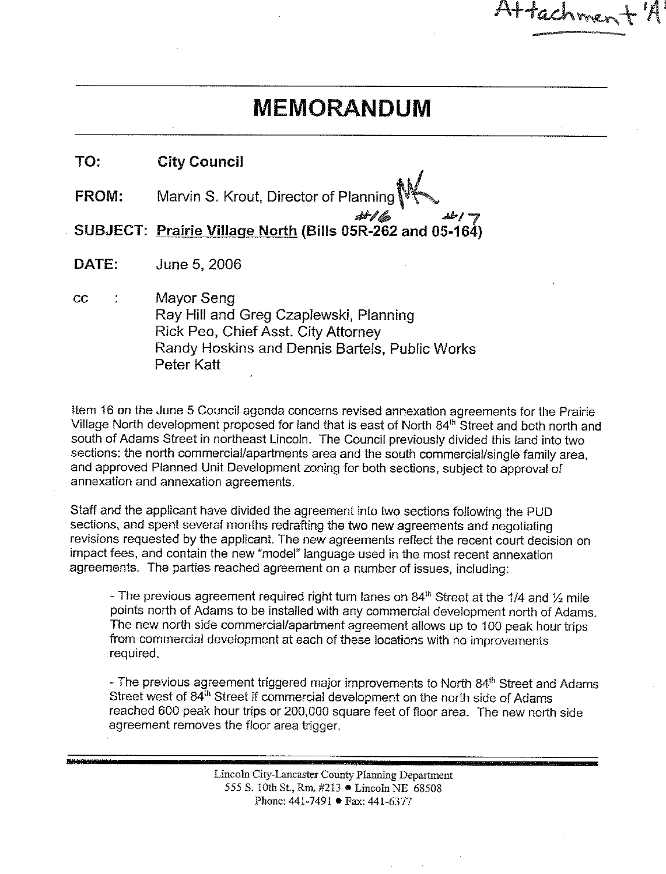# **MEMORANDUM**

Attachmer

| TO:          | <b>City Council</b>                                                                |
|--------------|------------------------------------------------------------------------------------|
| <b>FROM:</b> |                                                                                    |
|              | م / سال سے / صحيح SUBJECT: <u>Prairie Village North</u> (Bills 05R-262 and 05-164) |

DATE: June 5, 2006

 $cc$  $\ddot{\cdot}$ Mayor Seng Ray Hill and Greg Czaplewski, Planning Rick Peo, Chief Asst. City Attorney Randy Hoskins and Dennis Bartels, Public Works Peter Katt

Item 16 on the June 5 Council agenda concerns revised annexation agreements for the Prairie Village North development proposed for land that is east of North 84<sup>th</sup> Street and both north and south of Adams Street in northeast Lincoln. The Council previously divided this land into two sections: the north commercial/apartments area and the south commercial/single family area. and approved Planned Unit Development zoning for both sections, subject to approval of annexation and annexation agreements.

Staff and the applicant have divided the agreement into two sections following the PUD sections, and spent several months redrafting the two new agreements and negotiating revisions requested by the applicant. The new agreements reflect the recent court decision on impact fees, and contain the new "model" language used in the most recent annexation agreements. The parties reached agreement on a number of issues, including:

- The previous agreement required right turn lanes on 84<sup>th</sup> Street at the 1/4 and 1/<sub>2</sub> mile points north of Adams to be installed with any commercial development north of Adams. The new north side commercial/apartment agreement allows up to 100 peak hour trips from commercial development at each of these locations with no improvements required.

- The previous agreement triggered major improvements to North 84<sup>th</sup> Street and Adams Street west of 84<sup>th</sup> Street if commercial development on the north side of Adams reached 600 peak hour trips or 200,000 square feet of floor area. The new north side agreement removes the floor area trigger.

> Lincoln City-Lancaster County Planning Department 555 S. 10th St., Rm. #213 . Lincoln NE 68508 Phone: 441-7491 ● Fax: 441-6377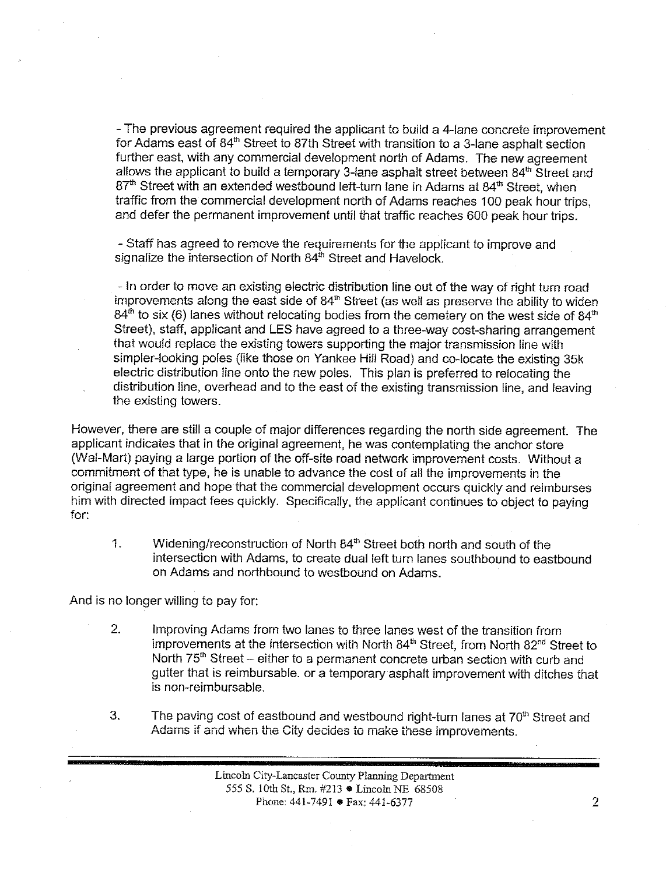- The previous agreement required the applicant to build a 4-lane concrete improvement for Adams east of 84<sup>th</sup> Street to 87th Street with transition to a 3-lane asphalt section further east, with any commercial development north of Adams. The new agreement allows the applicant to build a temporary 3-lane asphalt street between 84<sup>th</sup> Street and 87<sup>th</sup> Street with an extended westbound left-turn lane in Adams at 84<sup>th</sup> Street, when traffic from the commercial development north of Adams reaches 100 peak hour trips, and defer the permanent improvement until that traffic reaches 600 peak hour trips.

- Staff has agreed to remove the requirements for the applicant to improve and signalize the intersection of North 84<sup>th</sup> Street and Havelock.

- In order to move an existing electric distribution line out of the way of right turn road improvements along the east side of 84<sup>th</sup> Street (as well as preserve the ability to widen  $84<sup>th</sup>$  to six (6) lanes without relocating bodies from the cemetery on the west side of  $84<sup>th</sup>$ Street), staff, applicant and LES have agreed to a three-way cost-sharing arrangement that would replace the existing towers supporting the major transmission line with simpler-looking poles (like those on Yankee Hill Road) and co-locate the existing 35k electric distribution line onto the new poles. This plan is preferred to relocating the distribution line, overhead and to the east of the existing transmission line, and leaving the existing towers.

However, there are still a couple of major differences regarding the north side agreement. The applicant indicates that in the original agreement, he was contemplating the anchor store (Wal-Mart) paying a large portion of the off-site road network improvement costs. Without a commitment of that type, he is unable to advance the cost of all the improvements in the original agreement and hope that the commercial development occurs quickly and reimburses him with directed impact fees quickly. Specifically, the applicant continues to object to paying for:

Widening/reconstruction of North 84<sup>th</sup> Street both north and south of the 1. intersection with Adams, to create dual left turn lanes southbound to eastbound on Adams and northbound to westbound on Adams.

And is no longer willing to pay for:

- $2.$ Improving Adams from two lanes to three lanes west of the transition from improvements at the intersection with North 84<sup>th</sup> Street, from North 82<sup>nd</sup> Street to North 75<sup>th</sup> Street – either to a permanent concrete urban section with curb and gutter that is reimbursable, or a temporary asphalt improvement with ditches that is non-reimbursable.
- The paving cost of eastbound and westbound right-turn lanes at 70<sup>th</sup> Street and 3. Adams if and when the City decides to make these improvements.